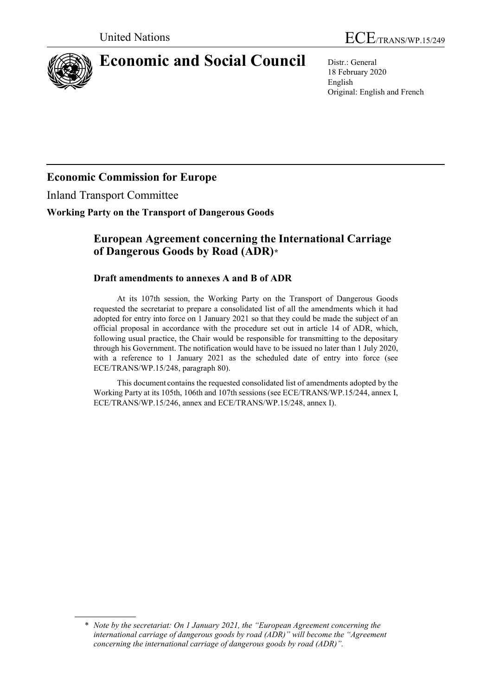

# **Economic and Social Council** Distr.: General

18 February 2020 English Original: English and French

## **Economic Commission for Europe**

Inland Transport Committee

## **Working Party on the Transport of Dangerous Goods**

## **European Agreement concerning the International Carriage of Dangerous Goods by Road (ADR)[\\*](#page-0-0)**

## **Draft amendments to annexes A and B of ADR**

At its 107th session, the Working Party on the Transport of Dangerous Goods requested the secretariat to prepare a consolidated list of all the amendments which it had adopted for entry into force on 1 January 2021 so that they could be made the subject of an official proposal in accordance with the procedure set out in article 14 of ADR, which, following usual practice, the Chair would be responsible for transmitting to the depositary through his Government. The notification would have to be issued no later than 1 July 2020, with a reference to 1 January 2021 as the scheduled date of entry into force (see ECE/TRANS/WP.15/248, paragraph 80).

This document contains the requested consolidated list of amendments adopted by the Working Party at its 105th, 106th and 107th sessions (see ECE/TRANS/WP.15/244, annex I, ECE/TRANS/WP.15/246, annex and ECE/TRANS/WP.15/248, annex I).

<span id="page-0-0"></span><sup>\*</sup> *Note by the secretariat: On 1 January 2021, the "European Agreement concerning the international carriage of dangerous goods by road (ADR)" will become the "Agreement concerning the international carriage of dangerous goods by road (ADR)".*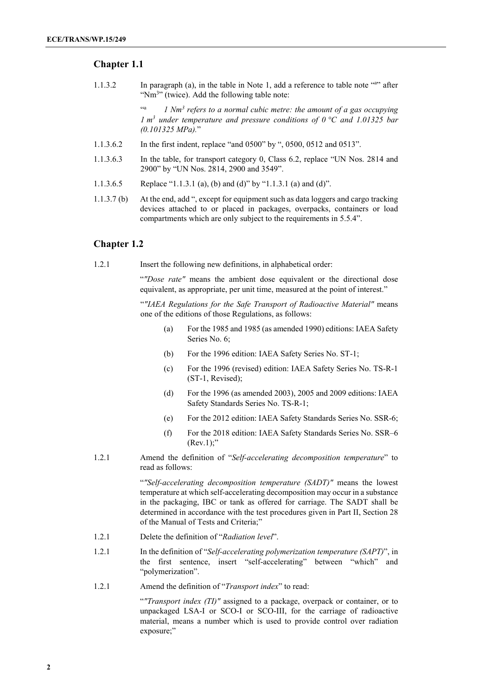### **Chapter 1.1**

1.1.3.2 In paragraph (a), in the table in Note 1, add a reference to table note "a " after "Nm<sup>3</sup>" (twice). Add the following table note:

> <sup>44</sup> <sup>1</sup> *Nm<sup>3</sup> refers to a normal cubic metre: the amount of a gas occupying 1 m3 under temperature and pressure conditions of 0 °C and 1.01325 bar (0.101325 MPa).*"

- 1.1.3.6.2 In the first indent, replace "and 0500" by ", 0500, 0512 and 0513".
- 1.1.3.6.3 In the table, for transport category 0, Class 6.2, replace "UN Nos. 2814 and 2900" by "UN Nos. 2814, 2900 and 3549".
- 1.1.3.6.5 Replace "1.1.3.1 (a), (b) and (d)" by "1.1.3.1 (a) and (d)".
- 1.1.3.7 (b) At the end, add ", except for equipment such as data loggers and cargo tracking devices attached to or placed in packages, overpacks, containers or load compartments which are only subject to the requirements in 5.5.4".

## **Chapter 1.2**

1.2.1 Insert the following new definitions, in alphabetical order:

"*"Dose rate"* means the ambient dose equivalent or the directional dose equivalent, as appropriate, per unit time, measured at the point of interest."

"*"IAEA Regulations for the Safe Transport of Radioactive Material"* means one of the editions of those Regulations, as follows:

- (a) For the 1985 and 1985 (as amended 1990) editions: IAEA Safety Series No. 6;
- (b) For the 1996 edition: IAEA Safety Series No. ST-1;
- (c) For the 1996 (revised) edition: IAEA Safety Series No. TS-R-1 (ST-1, Revised);
- (d) For the 1996 (as amended 2003), 2005 and 2009 editions: IAEA Safety Standards Series No. TS-R-1;
- (e) For the 2012 edition: IAEA Safety Standards Series No. SSR-6;
- (f) For the 2018 edition: IAEA Safety Standards Series No. SSR–6  $(Rev.1);$ "
- 1.2.1 Amend the definition of "*Self-accelerating decomposition temperature*" to read as follows:

"*"Self-accelerating decomposition temperature (SADT)"* means the lowest temperature at which self-accelerating decomposition may occur in a substance in the packaging, IBC or tank as offered for carriage. The SADT shall be determined in accordance with the test procedures given in Part II, Section 28 of the Manual of Tests and Criteria;"

- 1.2.1 Delete the definition of "*Radiation level*".
- 1.2.1 In the definition of "*Self-accelerating polymerization temperature (SAPT)*", in the first sentence, insert "self-accelerating" between "which" and "polymerization".
- 1.2.1 Amend the definition of "*Transport index*" to read:

"*"Transport index (TI)"* assigned to a package, overpack or container, or to unpackaged LSA-I or SCO-I or SCO-III, for the carriage of radioactive material, means a number which is used to provide control over radiation exposure;"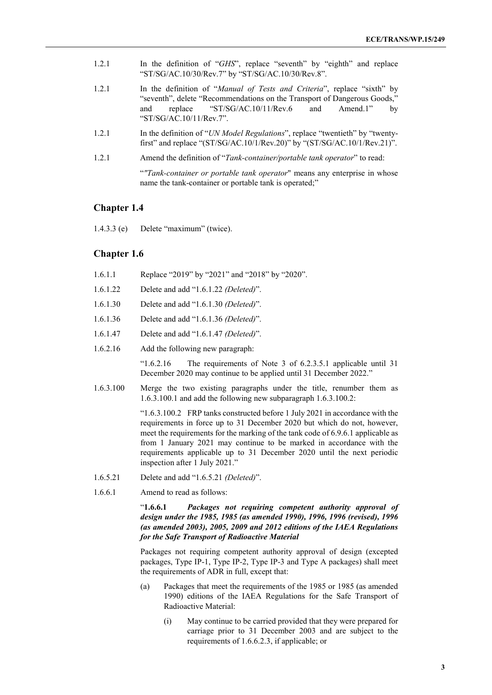- 1.2.1 In the definition of "*GHS*", replace "seventh" by "eighth" and replace "ST/SG/AC.10/30/Rev.7" by "ST/SG/AC.10/30/Rev.8".
- 1.2.1 In the definition of "*Manual of Tests and Criteria*", replace "sixth" by "seventh", delete "Recommendations on the Transport of Dangerous Goods," and replace "ST/SG/AC.10/11/Rev.6 and Amend.1" by "ST/SG/AC.10/11/Rev.7".
- 1.2.1 In the definition of "*UN Model Regulations*", replace "twentieth" by "twentyfirst" and replace "(ST/SG/AC.10/1/Rev.20)" by "(ST/SG/AC.10/1/Rev.21)".
- 1.2.1 Amend the definition of "*Tank-container/portable tank operator*" to read:

"*"Tank-container or portable tank operator*" means any enterprise in whose name the tank-container or portable tank is operated;"

#### **Chapter 1.4**

1.4.3.3 (e) Delete "maximum" (twice).

#### **Chapter 1.6**

| 1.6.1.1   | Replace "2019" by "2021" and "2018" by "2020".                                                                                                         |
|-----------|--------------------------------------------------------------------------------------------------------------------------------------------------------|
| 1.6.1.22  | Delete and add "1.6.1.22 <i>(Deleted)</i> ".                                                                                                           |
| 1.6.1.30  | Delete and add "1.6.1.30 <i>(Deleted)</i> ".                                                                                                           |
| 1.6.1.36  | Delete and add "1.6.1.36 <i>(Deleted)</i> ".                                                                                                           |
| 1.6.1.47  | Delete and add "1.6.1.47 <i>(Deleted)</i> ".                                                                                                           |
| 1.6.2.16  | Add the following new paragraph:                                                                                                                       |
|           | The requirements of Note 3 of 6.2.3.5.1 applicable until 31<br>$^{\circ}1.6.2.16$<br>December 2020 may continue to be applied until 31 December 2022." |
| 1.6.3.100 | Merge the two existing paragraphs under the title, renumber them as<br>$1.6.3.100.1$ and add the following new subparagraph $1.6.3.100.2$ :            |
|           | "1.6.3.100.2 FRP tanks constructed before 1 July 2021 in accordance with the                                                                           |

requirements in force up to 31 December 2020 but which do not, however, meet the requirements for the marking of the tank code of 6.9.6.1 applicable as from 1 January 2021 may continue to be marked in accordance with the requirements applicable up to 31 December 2020 until the next periodic inspection after 1 July 2021."

- 1.6.5.21 Delete and add "1.6.5.21 *(Deleted)*".
- 1.6.6.1 Amend to read as follows:

#### "**1.6.6.1** *Packages not requiring competent authority approval of design under the 1985, 1985 (as amended 1990), 1996, 1996 (revised), 1996 (as amended 2003), 2005, 2009 and 2012 editions of the IAEA Regulations for the Safe Transport of Radioactive Material*

Packages not requiring competent authority approval of design (excepted packages, Type IP-1, Type IP-2, Type IP-3 and Type A packages) shall meet the requirements of ADR in full, except that:

- (a) Packages that meet the requirements of the 1985 or 1985 (as amended 1990) editions of the IAEA Regulations for the Safe Transport of Radioactive Material:
	- (i) May continue to be carried provided that they were prepared for carriage prior to 31 December 2003 and are subject to the requirements of 1.6.6.2.3, if applicable; or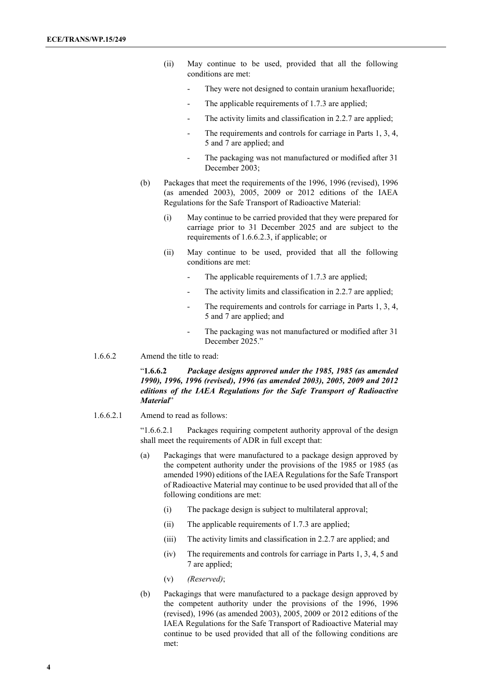- (ii) May continue to be used, provided that all the following conditions are met:
	- They were not designed to contain uranium hexafluoride;
	- The applicable requirements of 1.7.3 are applied;
	- The activity limits and classification in 2.2.7 are applied;
	- The requirements and controls for carriage in Parts 1, 3, 4, 5 and 7 are applied; and
	- The packaging was not manufactured or modified after 31 December 2003;
- (b) Packages that meet the requirements of the 1996, 1996 (revised), 1996 (as amended 2003), 2005, 2009 or 2012 editions of the IAEA Regulations for the Safe Transport of Radioactive Material:
	- (i) May continue to be carried provided that they were prepared for carriage prior to 31 December 2025 and are subject to the requirements of 1.6.6.2.3, if applicable; or
	- (ii) May continue to be used, provided that all the following conditions are met:
		- The applicable requirements of 1.7.3 are applied;
		- The activity limits and classification in 2.2.7 are applied;
		- The requirements and controls for carriage in Parts 1, 3, 4, 5 and 7 are applied; and
		- The packaging was not manufactured or modified after 31 December 2025."
- 1.6.6.2 Amend the title to read:

"**1.6.6.2** *Package designs approved under the 1985, 1985 (as amended 1990), 1996, 1996 (revised), 1996 (as amended 2003), 2005, 2009 and 2012 editions of the IAEA Regulations for the Safe Transport of Radioactive Material*"

1.6.6.2.1 Amend to read as follows:

"1.6.6.2.1 Packages requiring competent authority approval of the design shall meet the requirements of ADR in full except that:

- (a) Packagings that were manufactured to a package design approved by the competent authority under the provisions of the 1985 or 1985 (as amended 1990) editions of the IAEA Regulations for the Safe Transport of Radioactive Material may continue to be used provided that all of the following conditions are met:
	- (i) The package design is subject to multilateral approval;
	- (ii) The applicable requirements of 1.7.3 are applied;
	- (iii) The activity limits and classification in 2.2.7 are applied; and
	- (iv) The requirements and controls for carriage in Parts 1, 3, 4, 5 and 7 are applied;
	- (v) *(Reserved)*;
- (b) Packagings that were manufactured to a package design approved by the competent authority under the provisions of the 1996, 1996 (revised), 1996 (as amended 2003), 2005, 2009 or 2012 editions of the IAEA Regulations for the Safe Transport of Radioactive Material may continue to be used provided that all of the following conditions are met: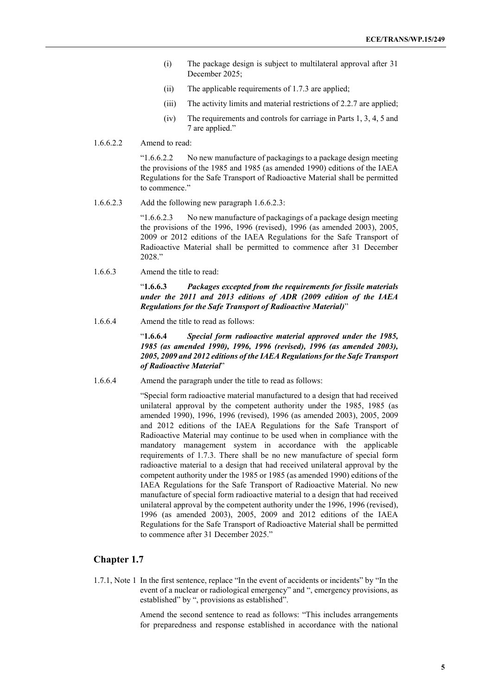- (i) The package design is subject to multilateral approval after 31 December 2025;
- (ii) The applicable requirements of 1.7.3 are applied;
- (iii) The activity limits and material restrictions of 2.2.7 are applied;
- (iv) The requirements and controls for carriage in Parts 1, 3, 4, 5 and 7 are applied."
- 1.6.6.2.2 Amend to read:

"1.6.6.2.2 No new manufacture of packagings to a package design meeting the provisions of the 1985 and 1985 (as amended 1990) editions of the IAEA Regulations for the Safe Transport of Radioactive Material shall be permitted to commence."

1.6.6.2.3 Add the following new paragraph 1.6.6.2.3:

"1.6.6.2.3 No new manufacture of packagings of a package design meeting the provisions of the 1996, 1996 (revised), 1996 (as amended 2003), 2005, 2009 or 2012 editions of the IAEA Regulations for the Safe Transport of Radioactive Material shall be permitted to commence after 31 December 2028."

1.6.6.3 Amend the title to read:

"**1.6.6.3** *Packages excepted from the requirements for fissile materials under the 2011 and 2013 editions of ADR (2009 edition of the IAEA Regulations for the Safe Transport of Radioactive Material)*"

1.6.6.4 Amend the title to read as follows:

"**1.6.6.4** *Special form radioactive material approved under the 1985, 1985 (as amended 1990), 1996, 1996 (revised), 1996 (as amended 2003), 2005, 2009 and 2012 editions of the IAEA Regulations for the Safe Transport of Radioactive Material*"

1.6.6.4 Amend the paragraph under the title to read as follows:

"Special form radioactive material manufactured to a design that had received unilateral approval by the competent authority under the 1985, 1985 (as amended 1990), 1996, 1996 (revised), 1996 (as amended 2003), 2005, 2009 and 2012 editions of the IAEA Regulations for the Safe Transport of Radioactive Material may continue to be used when in compliance with the mandatory management system in accordance with the applicable requirements of 1.7.3. There shall be no new manufacture of special form radioactive material to a design that had received unilateral approval by the competent authority under the 1985 or 1985 (as amended 1990) editions of the IAEA Regulations for the Safe Transport of Radioactive Material. No new manufacture of special form radioactive material to a design that had received unilateral approval by the competent authority under the 1996, 1996 (revised), 1996 (as amended 2003), 2005, 2009 and 2012 editions of the IAEA Regulations for the Safe Transport of Radioactive Material shall be permitted to commence after 31 December 2025."

## **Chapter 1.7**

1.7.1, Note 1 In the first sentence, replace "In the event of accidents or incidents" by "In the event of a nuclear or radiological emergency" and ", emergency provisions, as established" by ", provisions as established".

> Amend the second sentence to read as follows: "This includes arrangements for preparedness and response established in accordance with the national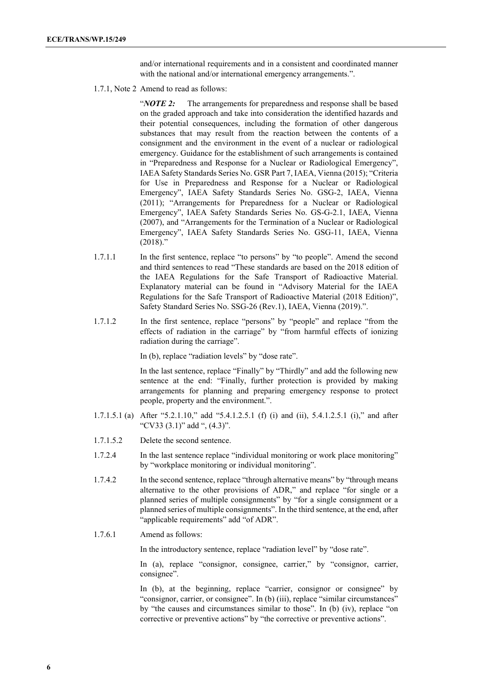and/or international requirements and in a consistent and coordinated manner with the national and/or international emergency arrangements.".

1.7.1, Note 2 Amend to read as follows:

"*NOTE 2:* The arrangements for preparedness and response shall be based on the graded approach and take into consideration the identified hazards and their potential consequences, including the formation of other dangerous substances that may result from the reaction between the contents of a consignment and the environment in the event of a nuclear or radiological emergency. Guidance for the establishment of such arrangements is contained in "Preparedness and Response for a Nuclear or Radiological Emergency", IAEA Safety Standards Series No. GSR Part 7, IAEA, Vienna (2015); "Criteria for Use in Preparedness and Response for a Nuclear or Radiological Emergency", IAEA Safety Standards Series No. GSG-2, IAEA, Vienna (2011); "Arrangements for Preparedness for a Nuclear or Radiological Emergency", IAEA Safety Standards Series No. GS-G-2.1, IAEA, Vienna (2007), and "Arrangements for the Termination of a Nuclear or Radiological Emergency", IAEA Safety Standards Series No. GSG-11, IAEA, Vienna  $(2018)$ ."

- 1.7.1.1 In the first sentence, replace "to persons" by "to people". Amend the second and third sentences to read "These standards are based on the 2018 edition of the IAEA Regulations for the Safe Transport of Radioactive Material. Explanatory material can be found in "Advisory Material for the IAEA Regulations for the Safe Transport of Radioactive Material (2018 Edition)", Safety Standard Series No. SSG-26 (Rev.1), IAEA, Vienna (2019).".
- 1.7.1.2 In the first sentence, replace "persons" by "people" and replace "from the effects of radiation in the carriage" by "from harmful effects of ionizing radiation during the carriage".

In (b), replace "radiation levels" by "dose rate".

In the last sentence, replace "Finally" by "Thirdly" and add the following new sentence at the end: "Finally, further protection is provided by making arrangements for planning and preparing emergency response to protect people, property and the environment.".

- 1.7.1.5.1 (a) After "5.2.1.10," add "5.4.1.2.5.1 (f) (i) and (ii), 5.4.1.2.5.1 (i)," and after "CV33 (3.1)" add ", (4.3)".
- 1.7.1.5.2 Delete the second sentence.
- 1.7.2.4 In the last sentence replace "individual monitoring or work place monitoring" by "workplace monitoring or individual monitoring".
- 1.7.4.2 In the second sentence, replace "through alternative means" by "through means alternative to the other provisions of ADR," and replace "for single or a planned series of multiple consignments" by "for a single consignment or a planned series of multiple consignments". In the third sentence, at the end, after "applicable requirements" add "of ADR".
- 1.7.6.1 Amend as follows:

In the introductory sentence, replace "radiation level" by "dose rate".

In (a), replace "consignor, consignee, carrier," by "consignor, carrier, consignee".

In (b), at the beginning, replace "carrier, consignor or consignee" by "consignor, carrier, or consignee". In (b) (iii), replace "similar circumstances" by "the causes and circumstances similar to those". In (b) (iv), replace "on corrective or preventive actions" by "the corrective or preventive actions".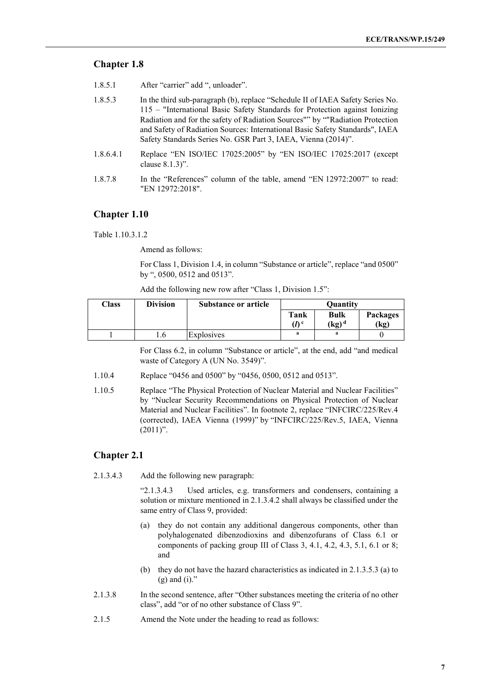## **Chapter 1.8**

- 1.8.5.1 After "carrier" add ", unloader".
- 1.8.5.3 In the third sub-paragraph (b), replace "Schedule II of IAEA Safety Series No. 115 – "International Basic Safety Standards for Protection against Ionizing Radiation and for the safety of Radiation Sources"" by ""Radiation Protection and Safety of Radiation Sources: International Basic Safety Standards", IAEA Safety Standards Series No. GSR Part 3, IAEA, Vienna (2014)".
- 1.8.6.4.1 Replace "EN ISO/IEC 17025:2005" by "EN ISO/IEC 17025:2017 (except clause 8.1.3)".
- 1.8.7.8 In the "References" column of the table, amend "EN 12972:2007" to read: "EN 12972:2018".

## **Chapter 1.10**

Table 1.10.3.1.2

Amend as follows:

For Class 1, Division 1.4, in column "Substance or article", replace "and 0500" by ", 0500, 0512 and 0513".

| Add the following new row after "Class 1, Division 1.5": |  |  |
|----------------------------------------------------------|--|--|
|----------------------------------------------------------|--|--|

| Class | <b>Division</b> | <b>Substance or article</b> |                  | <b>Ouantity</b>                         |          |
|-------|-----------------|-----------------------------|------------------|-----------------------------------------|----------|
|       |                 |                             | Tank             | <b>Bulk</b>                             | Packages |
|       |                 |                             | (I) <sup>c</sup> | $\left(\mathrm{kg}\right)^{\mathrm{d}}$ | (kg)     |
|       | 1.0             | Explosives                  | a                | a                                       |          |

For Class 6.2, in column "Substance or article", at the end, add "and medical waste of Category A (UN No. 3549)".

- 1.10.4 Replace "0456 and 0500" by "0456, 0500, 0512 and 0513".
- 1.10.5 Replace "The Physical Protection of Nuclear Material and Nuclear Facilities" by "Nuclear Security Recommendations on Physical Protection of Nuclear Material and Nuclear Facilities". In footnote 2, replace "INFCIRC/225/Rev.4 (corrected), IAEA Vienna (1999)" by "INFCIRC/225/Rev.5, IAEA, Vienna  $(2011)$ ".

## **Chapter 2.1**

2.1.3.4.3 Add the following new paragraph:

"2.1.3.4.3 Used articles, e.g. transformers and condensers, containing a solution or mixture mentioned in 2.1.3.4.2 shall always be classified under the same entry of Class 9, provided:

- (a) they do not contain any additional dangerous components, other than polyhalogenated dibenzodioxins and dibenzofurans of Class 6.1 or components of packing group III of Class 3, 4.1, 4.2, 4.3, 5.1, 6.1 or 8; and
- (b) they do not have the hazard characteristics as indicated in 2.1.3.5.3 (a) to  $(g)$  and  $(i)$ ."
- 2.1.3.8 In the second sentence, after "Other substances meeting the criteria of no other class", add "or of no other substance of Class 9".
- 2.1.5 Amend the Note under the heading to read as follows: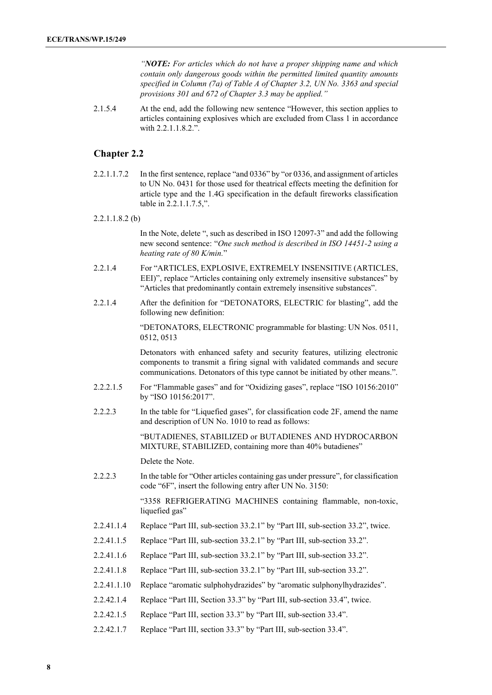*"NOTE: For articles which do not have a proper shipping name and which contain only dangerous goods within the permitted limited quantity amounts specified in Column (7a) of Table A of Chapter 3.2, UN No. 3363 and special provisions 301 and 672 of Chapter 3.3 may be applied."*

2.1.5.4 At the end, add the following new sentence "However, this section applies to articles containing explosives which are excluded from Class 1 in accordance with 2.2.1.1.8.2.".

## **Chapter 2.2**

2.2.1.1.7.2 In the first sentence, replace "and 0336" by "or 0336, and assignment of articles to UN No. 0431 for those used for theatrical effects meeting the definition for article type and the 1.4G specification in the default fireworks classification table in 2.2.1.1.7.5,".

#### 2.2.1.1.8.2 (b)

In the Note, delete ", such as described in ISO 12097-3" and add the following new second sentence: "*One such method is described in ISO 14451-2 using a heating rate of 80 K/min.*"

- 2.2.1.4 For "ARTICLES, EXPLOSIVE, EXTREMELY INSENSITIVE (ARTICLES, EEI)", replace "Articles containing only extremely insensitive substances" by "Articles that predominantly contain extremely insensitive substances".
- 2.2.1.4 After the definition for "DETONATORS, ELECTRIC for blasting", add the following new definition:

"DETONATORS, ELECTRONIC programmable for blasting: UN Nos. 0511, 0512, 0513

Detonators with enhanced safety and security features, utilizing electronic components to transmit a firing signal with validated commands and secure communications. Detonators of this type cannot be initiated by other means.".

- 2.2.2.1.5 For "Flammable gases" and for "Oxidizing gases", replace "ISO 10156:2010" by "ISO 10156:2017".
- 2.2.2.3 In the table for "Liquefied gases", for classification code 2F, amend the name and description of UN No. 1010 to read as follows:

"BUTADIENES, STABILIZED or BUTADIENES AND HYDROCARBON MIXTURE, STABILIZED, containing more than 40% butadienes"

Delete the Note.

2.2.2.3 In the table for "Other articles containing gas under pressure", for classification code "6F", insert the following entry after UN No. 3150:

> "3358 REFRIGERATING MACHINES containing flammable, non-toxic, liquefied gas"

- 2.2.41.1.4 Replace "Part III, sub-section 33.2.1" by "Part III, sub-section 33.2", twice.
- 2.2.41.1.5 Replace "Part III, sub-section 33.2.1" by "Part III, sub-section 33.2".
- 2.2.41.1.6 Replace "Part III, sub-section 33.2.1" by "Part III, sub-section 33.2".
- 2.2.41.1.8 Replace "Part III, sub-section 33.2.1" by "Part III, sub-section 33.2".
- 2.2.41.1.10 Replace "aromatic sulphohydrazides" by "aromatic sulphonylhydrazides".
- 2.2.42.1.4 Replace "Part III, Section 33.3" by "Part III, sub-section 33.4", twice.
- 2.2.42.1.5 Replace "Part III, section 33.3" by "Part III, sub-section 33.4".
- 2.2.42.1.7 Replace "Part III, section 33.3" by "Part III, sub-section 33.4".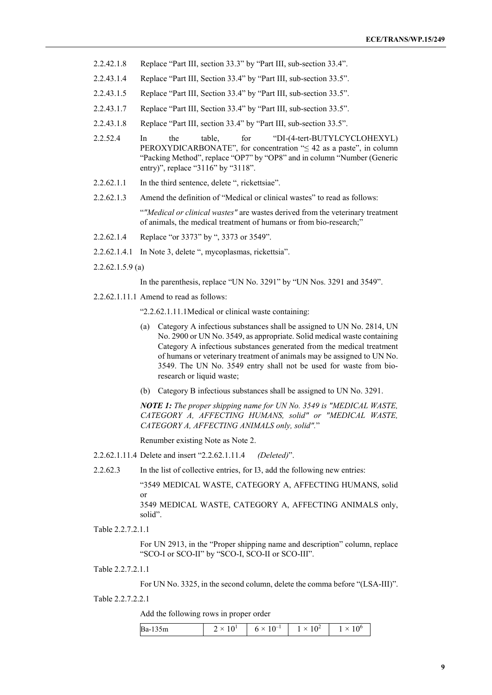- 2.2.42.1.8 Replace "Part III, section 33.3" by "Part III, sub-section 33.4".
- 2.2.43.1.4 Replace "Part III, Section 33.4" by "Part III, sub-section 33.5".
- 2.2.43.1.5 Replace "Part III, Section 33.4" by "Part III, sub-section 33.5".
- 2.2.43.1.7 Replace "Part III, Section 33.4" by "Part III, sub-section 33.5".
- 2.2.43.1.8 Replace "Part III, section 33.4" by "Part III, sub-section 33.5".
- 2.2.52.4 In the table, for "DI-(4-tert-BUTYLCYCLOHEXYL) PEROXYDICARBONATE", for concentration " $\leq 42$  as a paste", in column "Packing Method", replace "OP7" by "OP8" and in column "Number (Generic entry)", replace "3116" by "3118".
- 2.2.62.1.1 In the third sentence, delete ", rickettsiae".
- 2.2.62.1.3 Amend the definition of "Medical or clinical wastes" to read as follows:

"*"Medical or clinical wastes"* are wastes derived from the veterinary treatment of animals, the medical treatment of humans or from bio-research;"

- 2.2.62.1.4 Replace "or 3373" by ", 3373 or 3549".
- 2.2.62.1.4.1 In Note 3, delete ", mycoplasmas, rickettsia".
- 2.2.62.1.5.9 (a)

In the parenthesis, replace "UN No. 3291" by "UN Nos. 3291 and 3549".

2.2.62.1.11.1 Amend to read as follows:

"2.2.62.1.11.1Medical or clinical waste containing:

- (a) Category A infectious substances shall be assigned to UN No. 2814, UN No. 2900 or UN No. 3549, as appropriate. Solid medical waste containing Category A infectious substances generated from the medical treatment of humans or veterinary treatment of animals may be assigned to UN No. 3549. The UN No. 3549 entry shall not be used for waste from bioresearch or liquid waste;
- (b) Category B infectious substances shall be assigned to UN No. 3291.

*NOTE 1: The proper shipping name for UN No. 3549 is "MEDICAL WASTE, CATEGORY A, AFFECTING HUMANS, solid" or "MEDICAL WASTE, CATEGORY A, AFFECTING ANIMALS only, solid".*"

Renumber existing Note as Note 2.

2.2.62.1.11.4 Delete and insert "2.2.62.1.11.4 *(Deleted)*".

2.2.62.3 In the list of collective entries, for I3, add the following new entries:

"3549 MEDICAL WASTE, CATEGORY A, AFFECTING HUMANS, solid or

3549 MEDICAL WASTE, CATEGORY A, AFFECTING ANIMALS only, solid".

Table 2.2.7.2.1.1

For UN 2913, in the "Proper shipping name and description" column, replace "SCO-I or SCO-II" by "SCO-I, SCO-II or SCO-III".

Table 2.2.7.2.1.1

For UN No. 3325, in the second column, delete the comma before "(LSA-III)".

Table 2.2.7.2.2.1

Add the following rows in proper order

| Ba-135m | $\checkmark$<br>__ | $\mathbf{A}$<br>ິ | ے 1 |  |
|---------|--------------------|-------------------|-----|--|
|---------|--------------------|-------------------|-----|--|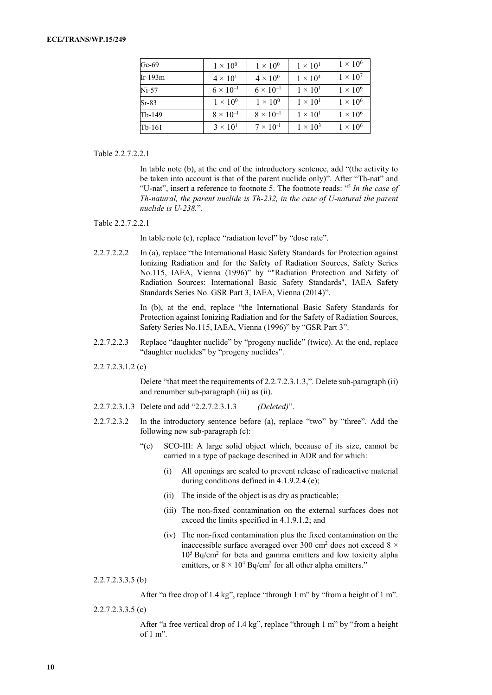| Ge- $69$ | $1 \times 10^{0}$  | $1 \times 10^{0}$  | $1 \times 10^{1}$ | $1 \times 10^6$ |
|----------|--------------------|--------------------|-------------------|-----------------|
| Ir-193m  | $4 \times 10^{1}$  | $4 \times 10^{0}$  | $1 \times 10^4$   | $1 \times 10^7$ |
| $Ni-57$  | $6 \times 10^{-1}$ | $6 \times 10^{-1}$ | $1 \times 10^{1}$ | $1 \times 10^6$ |
| $Sr-83$  | $1 \times 10^{0}$  | $1 \times 10^{0}$  | $1 \times 10^{1}$ | $1 \times 10^6$ |
| Tb-149   | $8 \times 10^{-1}$ | $8 \times 10^{-1}$ | $1 \times 10^{1}$ | $1 \times 10^6$ |
| Tb-161   | $3 \times 10^{1}$  | $7 \times 10^{-1}$ | $1 \times 10^3$   | $1 \times 10^6$ |

Table 2.2.7.2.2.1

In table note (b), at the end of the introductory sentence, add "(the activity to be taken into account is that of the parent nuclide only)". After "Th-nat" and "U-nat", insert a reference to footnote 5. The footnote reads: "5 *In the case of Th-natural, the parent nuclide is Th-232, in the case of U-natural the parent nuclide is U-238.*".

#### Table 2.2.7.2.2.1

In table note (c), replace "radiation level" by "dose rate".

2.2.7.2.2.2 In (a), replace "the International Basic Safety Standards for Protection against Ionizing Radiation and for the Safety of Radiation Sources, Safety Series No.115, IAEA, Vienna (1996)" by ""Radiation Protection and Safety of Radiation Sources: International Basic Safety Standards", IAEA Safety Standards Series No. GSR Part 3, IAEA, Vienna (2014)".

> In (b), at the end, replace "the International Basic Safety Standards for Protection against Ionizing Radiation and for the Safety of Radiation Sources, Safety Series No.115, IAEA, Vienna (1996)" by "GSR Part 3".

- 2.2.7.2.2.3 Replace "daughter nuclide" by "progeny nuclide" (twice). At the end, replace "daughter nuclides" by "progeny nuclides".
- 2.2.7.2.3.1.2 (c)

Delete "that meet the requirements of 2.2.7.2.3.1.3,". Delete sub-paragraph (ii) and renumber sub-paragraph (iii) as (ii).

- 2.2.7.2.3.1.3 Delete and add "2.2.7.2.3.1.3 *(Deleted)*".
- 2.2.7.2.3.2 In the introductory sentence before (a), replace "two" by "three". Add the following new sub-paragraph (c):
	- "(c) SCO-III: A large solid object which, because of its size, cannot be carried in a type of package described in ADR and for which:
		- (i) All openings are sealed to prevent release of radioactive material during conditions defined in 4.1.9.2.4 (e);
		- (ii) The inside of the object is as dry as practicable;
		- (iii) The non-fixed contamination on the external surfaces does not exceed the limits specified in 4.1.9.1.2; and
		- (iv) The non-fixed contamination plus the fixed contamination on the inaccessible surface averaged over 300 cm<sup>2</sup> does not exceed  $8 \times$ 105 Bq/cm2 for beta and gamma emitters and low toxicity alpha emitters, or  $8 \times 10^4$  Bq/cm<sup>2</sup> for all other alpha emitters."

2.2.7.2.3.3.5 (b)

After "a free drop of 1.4 kg", replace "through 1 m" by "from a height of 1 m".

2.2.7.2.3.3.5 (c)

After "a free vertical drop of 1.4 kg", replace "through 1 m" by "from a height of 1 m".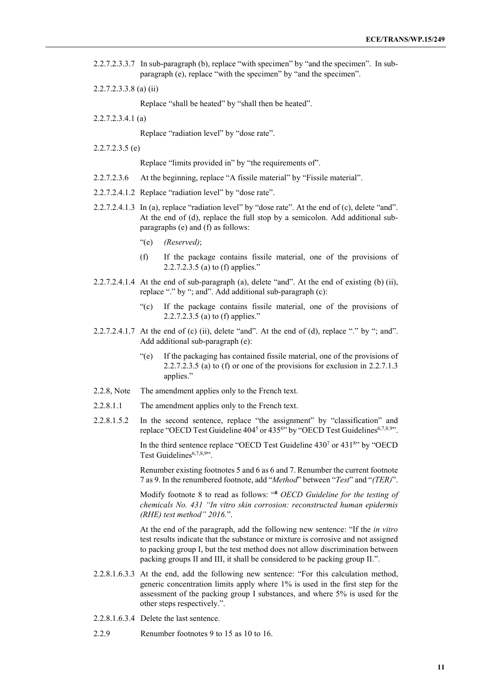- 2.2.7.2.3.3.7 In sub-paragraph (b), replace "with specimen" by "and the specimen". In subparagraph (e), replace "with the specimen" by "and the specimen".
- 2.2.7.2.3.3.8 (a) (ii)

Replace "shall be heated" by "shall then be heated".

2.2.7.2.3.4.1 (a)

Replace "radiation level" by "dose rate".

2.2.7.2.3.5 (e)

Replace "limits provided in" by "the requirements of".

- 2.2.7.2.3.6 At the beginning, replace "A fissile material" by "Fissile material".
- 2.2.7.2.4.1.2 Replace "radiation level" by "dose rate".
- 2.2.7.2.4.1.3 In (a), replace "radiation level" by "dose rate". At the end of (c), delete "and". At the end of (d), replace the full stop by a semicolon. Add additional subparagraphs (e) and (f) as follows:
	- "(e) *(Reserved)*;
	- (f) If the package contains fissile material, one of the provisions of 2.2.7.2.3.5 (a) to (f) applies."
- $2.2.7.2.4.1.4$  At the end of sub-paragraph (a), delete "and". At the end of existing (b) (ii), replace "." by "; and". Add additional sub-paragraph (c):
	- "(c) If the package contains fissile material, one of the provisions of 2.2.7.2.3.5 (a) to (f) applies."
- 2.2.7.2.4.1.7 At the end of (c) (ii), delete "and". At the end of (d), replace "." by "; and". Add additional sub-paragraph (e):
	- "(e) If the packaging has contained fissile material, one of the provisions of 2.2.7.2.3.5 (a) to (f) or one of the provisions for exclusion in 2.2.7.1.3 applies."
- 2.2.8, Note The amendment applies only to the French text.
- 2.2.8.1.1 The amendment applies only to the French text.
- 2.2.8.1.5.2 In the second sentence, replace "the assignment" by "classification" and replace "OECD Test Guideline 404<sup>5</sup> or 435<sup>6</sup>" by "OECD Test Guidelines<sup>6,7,8,9</sup>".

In the third sentence replace "OECD Test Guideline  $430<sup>7</sup>$  or  $431<sup>8</sup>$ " by "OECD Test Guidelines<sup>6,7,8,9</sup>".

Renumber existing footnotes 5 and 6 as 6 and 7. Renumber the current footnote 7 as 9. In the renumbered footnote, add "*Method*" between "*Test*" and "*(TER)*".

Modify footnote 8 to read as follows: "**<sup>8</sup>** *OECD Guideline for the testing of chemicals No. 431 "In vitro skin corrosion: reconstructed human epidermis (RHE) test method" 2016.*".

At the end of the paragraph, add the following new sentence: "If the *in vitro* test results indicate that the substance or mixture is corrosive and not assigned to packing group I, but the test method does not allow discrimination between packing groups II and III, it shall be considered to be packing group II.".

- 2.2.8.1.6.3.3 At the end, add the following new sentence: "For this calculation method, generic concentration limits apply where 1% is used in the first step for the assessment of the packing group I substances, and where 5% is used for the other steps respectively.".
- 2.2.8.1.6.3.4 Delete the last sentence.
- 2.2.9 Renumber footnotes 9 to 15 as 10 to 16.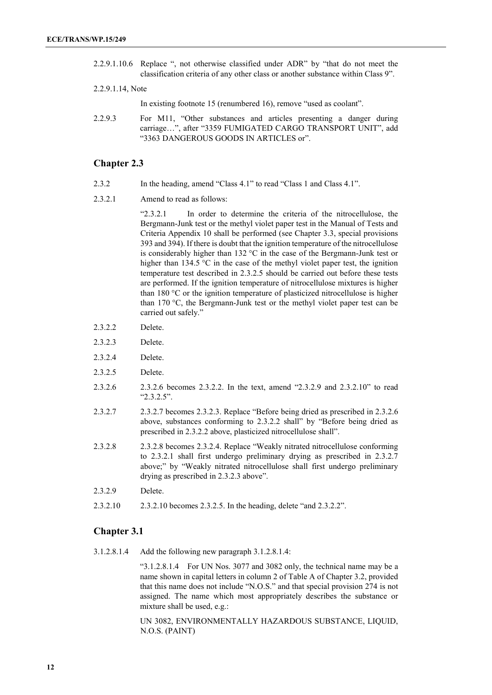2.2.9.1.10.6 Replace ", not otherwise classified under ADR" by "that do not meet the classification criteria of any other class or another substance within Class 9".

#### 2.2.9.1.14, Note

In existing footnote 15 (renumbered 16), remove "used as coolant".

2.2.9.3 For M11, "Other substances and articles presenting a danger during carriage…", after "3359 FUMIGATED CARGO TRANSPORT UNIT", add "3363 DANGEROUS GOODS IN ARTICLES or".

### **Chapter 2.3**

- 2.3.2 In the heading, amend "Class 4.1" to read "Class 1 and Class 4.1".
- 2.3.2.1 Amend to read as follows:

"2.3.2.1 In order to determine the criteria of the nitrocellulose, the Bergmann-Junk test or the methyl violet paper test in the Manual of Tests and Criteria Appendix 10 shall be performed (see Chapter 3.3, special provisions 393 and 394). If there is doubt that the ignition temperature of the nitrocellulose is considerably higher than 132 °C in the case of the Bergmann-Junk test or higher than 134.5 °C in the case of the methyl violet paper test, the ignition temperature test described in 2.3.2.5 should be carried out before these tests are performed. If the ignition temperature of nitrocellulose mixtures is higher than 180 °C or the ignition temperature of plasticized nitrocellulose is higher than 170 °C, the Bergmann-Junk test or the methyl violet paper test can be carried out safely."

- 2.3.2.2 Delete.
- 2.3.2.3 Delete.
- 2.3.2.4 Delete.
- 2.3.2.5 Delete.
- 2.3.2.6 2.3.2.6 becomes 2.3.2.2. In the text, amend "2.3.2.9 and 2.3.2.10" to read "2.3.2.5".
- 2.3.2.7 2.3.2.7 becomes 2.3.2.3. Replace "Before being dried as prescribed in 2.3.2.6 above, substances conforming to 2.3.2.2 shall" by "Before being dried as prescribed in 2.3.2.2 above, plasticized nitrocellulose shall".
- 2.3.2.8 2.3.2.8 becomes 2.3.2.4. Replace "Weakly nitrated nitrocellulose conforming to 2.3.2.1 shall first undergo preliminary drying as prescribed in 2.3.2.7 above;" by "Weakly nitrated nitrocellulose shall first undergo preliminary drying as prescribed in 2.3.2.3 above".
- 2.3.2.9 Delete.
- 2.3.2.10 2.3.2.10 becomes 2.3.2.5. In the heading, delete "and 2.3.2.2".

#### **Chapter 3.1**

3.1.2.8.1.4 Add the following new paragraph 3.1.2.8.1.4:

"3.1.2.8.1.4 For UN Nos. 3077 and 3082 only, the technical name may be a name shown in capital letters in column 2 of Table A of Chapter 3.2, provided that this name does not include "N.O.S." and that special provision 274 is not assigned. The name which most appropriately describes the substance or mixture shall be used, e.g.:

UN 3082, ENVIRONMENTALLY HAZARDOUS SUBSTANCE, LIQUID, N.O.S. (PAINT)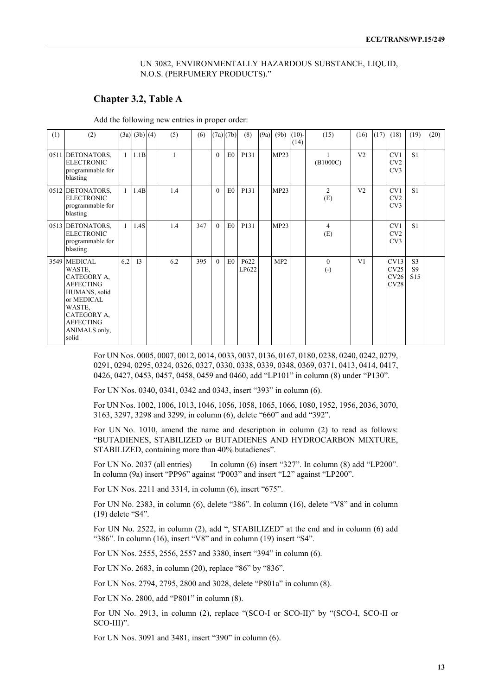#### UN 3082, ENVIRONMENTALLY HAZARDOUS SUBSTANCE, LIQUID, N.O.S. (PERFUMERY PRODUCTS)."

## **Chapter 3.2, Table A**

Add the following new entries in proper order:

| (1) | (2)                                                                                                                                                             |              | $(3a)$ $(3b)$ $(4)$ | (5) | (6) |          | $(7a)$ $(7b)$  | (8)           | (9a) | (9b) | $(10)$ -<br>(14) | (15)                  | (16)           | (17) | (18)                         | (19)                                    | (20) |
|-----|-----------------------------------------------------------------------------------------------------------------------------------------------------------------|--------------|---------------------|-----|-----|----------|----------------|---------------|------|------|------------------|-----------------------|----------------|------|------------------------------|-----------------------------------------|------|
|     | 0511 DETONATORS,<br><b>ELECTRONIC</b><br>programmable for<br>blasting                                                                                           | $\mathbf{1}$ | 1.1B                |     |     | $\theta$ | E0             | P131          |      | MP23 |                  | (B1000C)              | V <sub>2</sub> |      | CV1<br>CV2<br>CV3            | S1                                      |      |
|     | 0512 DETONATORS,<br><b>ELECTRONIC</b><br>programmable for<br>blasting                                                                                           | $\mathbf{1}$ | 1.4B                | 1.4 |     | $\theta$ | E <sub>0</sub> | P131          |      | MP23 |                  | $\overline{2}$<br>(E) | V <sub>2</sub> |      | CV1<br>CV2<br>CV3            | S1                                      |      |
|     | 0513 DETONATORS,<br><b>ELECTRONIC</b><br>programmable for<br>blasting                                                                                           | $\mathbf{1}$ | 1.4S                | 1.4 | 347 | $\theta$ | E <sub>0</sub> | P131          |      | MP23 |                  | $\overline{4}$<br>(E) |                |      | CV1<br>CV2<br>CV3            | S <sub>1</sub>                          |      |
|     | 3549 MEDICAL<br>WASTE,<br>CATEGORY A,<br><b>AFFECTING</b><br>HUMANS, solid<br>or MEDICAL<br>WASTE,<br>CATEGORY A.<br><b>AFFECTING</b><br>ANIMALS only,<br>solid | 6.2          | I <sub>3</sub>      | 6.2 | 395 | $\theta$ | E0             | P622<br>LP622 |      | MP2  |                  | $\theta$<br>$(-)$     | V1             |      | CV13<br>CV25<br>CV26<br>CV28 | S <sub>3</sub><br>S9<br>S <sub>15</sub> |      |

For UN Nos. 0005, 0007, 0012, 0014, 0033, 0037, 0136, 0167, 0180, 0238, 0240, 0242, 0279, 0291, 0294, 0295, 0324, 0326, 0327, 0330, 0338, 0339, 0348, 0369, 0371, 0413, 0414, 0417, 0426, 0427, 0453, 0457, 0458, 0459 and 0460, add "LP101" in column (8) under "P130".

For UN Nos. 0340, 0341, 0342 and 0343, insert "393" in column (6).

For UN Nos. 1002, 1006, 1013, 1046, 1056, 1058, 1065, 1066, 1080, 1952, 1956, 2036, 3070, 3163, 3297, 3298 and 3299, in column (6), delete "660" and add "392".

For UN No. 1010, amend the name and description in column (2) to read as follows: "BUTADIENES, STABILIZED or BUTADIENES AND HYDROCARBON MIXTURE, STABILIZED, containing more than 40% butadienes".

For UN No. 2037 (all entries) In column (6) insert "327". In column (8) add "LP200". In column (9a) insert "PP96" against "P003" and insert "L2" against "LP200".

For UN Nos. 2211 and 3314, in column (6), insert "675".

For UN No. 2383, in column (6), delete "386". In column (16), delete "V8" and in column (19) delete "S4".

For UN No. 2522, in column (2), add ", STABILIZED" at the end and in column (6) add "386". In column (16), insert "V8" and in column (19) insert "S4".

For UN Nos. 2555, 2556, 2557 and 3380, insert "394" in column (6).

For UN No. 2683, in column (20), replace "86" by "836".

For UN Nos. 2794, 2795, 2800 and 3028, delete "P801a" in column (8).

For UN No. 2800, add "P801" in column (8).

For UN No. 2913, in column (2), replace "(SCO-I or SCO-II)" by "(SCO-I, SCO-II or SCO-III)".

For UN Nos. 3091 and 3481, insert "390" in column (6).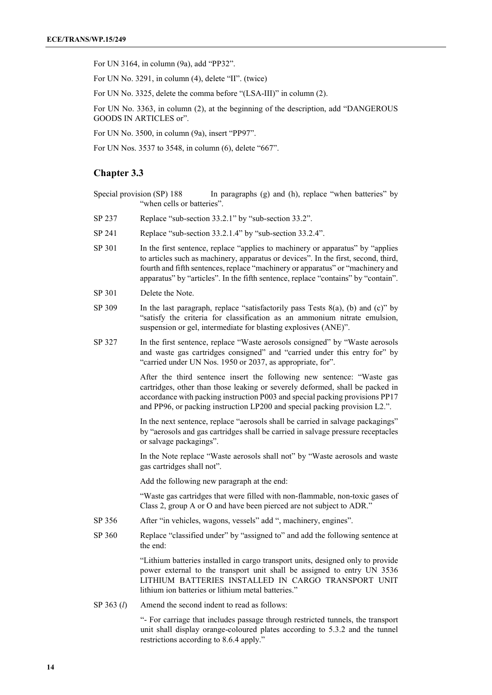For UN 3164, in column (9a), add "PP32".

For UN No. 3291, in column (4), delete "II". (twice)

For UN No. 3325, delete the comma before "(LSA-III)" in column (2).

For UN No. 3363, in column (2), at the beginning of the description, add "DANGEROUS GOODS IN ARTICLES or".

For UN No. 3500, in column (9a), insert "PP97".

For UN Nos. 3537 to 3548, in column (6), delete "667".

## **Chapter 3.3**

- Special provision (SP) 188 In paragraphs (g) and (h), replace "when batteries" by "when cells or batteries".
- SP 237 Replace "sub-section 33.2.1" by "sub-section 33.2".
- SP 241 Replace "sub-section 33.2.1.4" by "sub-section 33.2.4".
- SP 301 In the first sentence, replace "applies to machinery or apparatus" by "applies to articles such as machinery, apparatus or devices". In the first, second, third, fourth and fifth sentences, replace "machinery or apparatus" or "machinery and apparatus" by "articles". In the fifth sentence, replace "contains" by "contain".
- SP 301 Delete the Note.
- SP 309 In the last paragraph, replace "satisfactorily pass Tests  $8(a)$ , (b) and (c)" by "satisfy the criteria for classification as an ammonium nitrate emulsion, suspension or gel, intermediate for blasting explosives (ANE)".
- SP 327 In the first sentence, replace "Waste aerosols consigned" by "Waste aerosols and waste gas cartridges consigned" and "carried under this entry for" by "carried under UN Nos. 1950 or 2037, as appropriate, for".

After the third sentence insert the following new sentence: "Waste gas cartridges, other than those leaking or severely deformed, shall be packed in accordance with packing instruction P003 and special packing provisions PP17 and PP96, or packing instruction LP200 and special packing provision L2.".

In the next sentence, replace "aerosols shall be carried in salvage packagings" by "aerosols and gas cartridges shall be carried in salvage pressure receptacles or salvage packagings".

In the Note replace "Waste aerosols shall not" by "Waste aerosols and waste gas cartridges shall not".

Add the following new paragraph at the end:

"Waste gas cartridges that were filled with non-flammable, non-toxic gases of Class 2, group A or O and have been pierced are not subject to ADR."

- SP 356 After "in vehicles, wagons, vessels" add ", machinery, engines".
- SP 360 Replace "classified under" by "assigned to" and add the following sentence at the end:

"Lithium batteries installed in cargo transport units, designed only to provide power external to the transport unit shall be assigned to entry UN 3536 LITHIUM BATTERIES INSTALLED IN CARGO TRANSPORT UNIT lithium ion batteries or lithium metal batteries."

SP 363 (*l*) Amend the second indent to read as follows:

"- For carriage that includes passage through restricted tunnels, the transport unit shall display orange-coloured plates according to 5.3.2 and the tunnel restrictions according to 8.6.4 apply."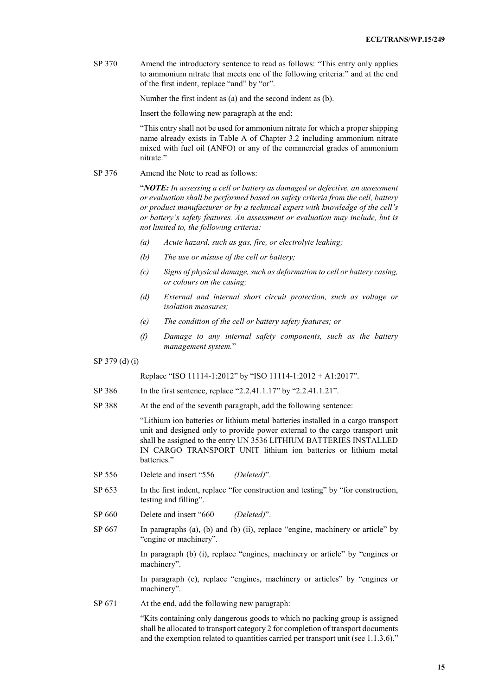SP 370 Amend the introductory sentence to read as follows: "This entry only applies to ammonium nitrate that meets one of the following criteria:" and at the end of the first indent, replace "and" by "or".

Number the first indent as (a) and the second indent as (b).

Insert the following new paragraph at the end:

"This entry shall not be used for ammonium nitrate for which a proper shipping name already exists in Table A of Chapter 3.2 including ammonium nitrate mixed with fuel oil (ANFO) or any of the commercial grades of ammonium nitrate."

SP 376 Amend the Note to read as follows:

"*NOTE: In assessing a cell or battery as damaged or defective, an assessment or evaluation shall be performed based on safety criteria from the cell, battery or product manufacturer or by a technical expert with knowledge of the cell's or battery's safety features. An assessment or evaluation may include, but is not limited to, the following criteria:* 

- *(a) Acute hazard, such as gas, fire, or electrolyte leaking;*
- *(b) The use or misuse of the cell or battery;*
- *(c) Signs of physical damage, such as deformation to cell or battery casing, or colours on the casing;*
- *(d) External and internal short circuit protection, such as voltage or isolation measures;*
- *(e) The condition of the cell or battery safety features; or*
- *(f) Damage to any internal safety components, such as the battery management system.*"

SP 379 (d) (i)

Replace "ISO 11114-1:2012" by "ISO 11114-1:2012 + A1:2017".

- SP 386 In the first sentence, replace "2.2.41.1.17" by "2.2.41.1.21".
- SP 388 At the end of the seventh paragraph, add the following sentence:

"Lithium ion batteries or lithium metal batteries installed in a cargo transport unit and designed only to provide power external to the cargo transport unit shall be assigned to the entry UN 3536 LITHIUM BATTERIES INSTALLED IN CARGO TRANSPORT UNIT lithium ion batteries or lithium metal batteries."

- SP 556 Delete and insert "556 *(Deleted)*".
- SP 653 In the first indent, replace "for construction and testing" by "for construction, testing and filling".
- SP 660 Delete and insert "660 *(Deleted)*".
- SP 667 In paragraphs (a), (b) and (b) (ii), replace "engine, machinery or article" by "engine or machinery".

In paragraph (b) (i), replace "engines, machinery or article" by "engines or machinery".

In paragraph (c), replace "engines, machinery or articles" by "engines or machinery".

SP 671 At the end, add the following new paragraph:

"Kits containing only dangerous goods to which no packing group is assigned shall be allocated to transport category 2 for completion of transport documents and the exemption related to quantities carried per transport unit (see 1.1.3.6)."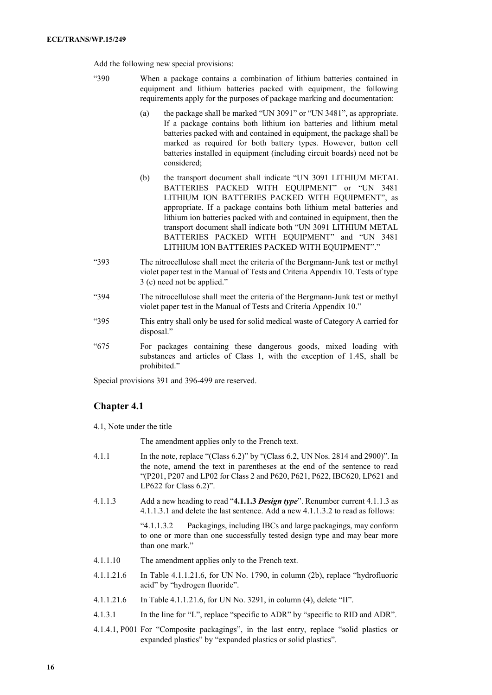Add the following new special provisions:

- "390 When a package contains a combination of lithium batteries contained in equipment and lithium batteries packed with equipment, the following requirements apply for the purposes of package marking and documentation:
	- (a) the package shall be marked "UN 3091" or "UN 3481", as appropriate. If a package contains both lithium ion batteries and lithium metal batteries packed with and contained in equipment, the package shall be marked as required for both battery types. However, button cell batteries installed in equipment (including circuit boards) need not be considered;
	- (b) the transport document shall indicate "UN 3091 LITHIUM METAL BATTERIES PACKED WITH EQUIPMENT" or "UN 3481 LITHIUM ION BATTERIES PACKED WITH EQUIPMENT", as appropriate. If a package contains both lithium metal batteries and lithium ion batteries packed with and contained in equipment, then the transport document shall indicate both "UN 3091 LITHIUM METAL BATTERIES PACKED WITH EQUIPMENT" and "UN 3481 LITHIUM ION BATTERIES PACKED WITH EQUIPMENT"."
- "393 The nitrocellulose shall meet the criteria of the Bergmann-Junk test or methyl violet paper test in the Manual of Tests and Criteria Appendix 10. Tests of type 3 (c) need not be applied."
- "394 The nitrocellulose shall meet the criteria of the Bergmann-Junk test or methyl violet paper test in the Manual of Tests and Criteria Appendix 10."
- "395 This entry shall only be used for solid medical waste of Category A carried for disposal."
- "675 For packages containing these dangerous goods, mixed loading with substances and articles of Class 1, with the exception of 1.4S, shall be prohibited."

Special provisions 391 and 396-499 are reserved.

## **Chapter 4.1**

4.1, Note under the title

The amendment applies only to the French text.

- 4.1.1 In the note, replace "(Class  $6.2$ )" by "(Class  $6.2$ , UN Nos. 2814 and 2900)". In the note, amend the text in parentheses at the end of the sentence to read "(P201, P207 and LP02 for Class 2 and P620, P621, P622, IBC620, LP621 and LP622 for Class 6.2)".
- 4.1.1.3 Add a new heading to read "**4.1.1.3** *Design type*". Renumber current 4.1.1.3 as 4.1.1.3.1 and delete the last sentence. Add a new 4.1.1.3.2 to read as follows:

"4.1.1.3.2 Packagings, including IBCs and large packagings, may conform to one or more than one successfully tested design type and may bear more than one mark."

- 4.1.1.10 The amendment applies only to the French text.
- 4.1.1.21.6 In Table 4.1.1.21.6, for UN No. 1790, in column (2b), replace "hydrofluoric acid" by "hydrogen fluoride".
- 4.1.1.21.6 In Table 4.1.1.21.6, for UN No. 3291, in column (4), delete "II".
- 4.1.3.1 In the line for "L", replace "specific to ADR" by "specific to RID and ADR".
- 4.1.4.1, P001 For "Composite packagings", in the last entry, replace "solid plastics or expanded plastics" by "expanded plastics or solid plastics".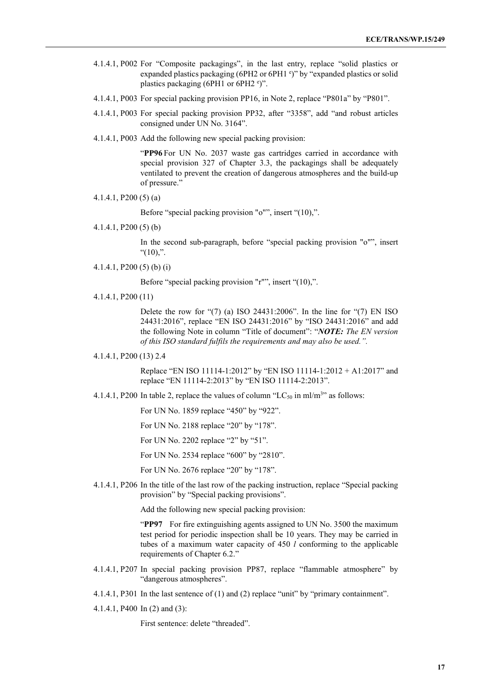- 4.1.4.1, P002 For "Composite packagings", in the last entry, replace "solid plastics or expanded plastics packaging (6PH2 or 6PH1 °)" by "expanded plastics or solid plastics packaging (6PH1 or 6PH2 °)".
- 4.1.4.1, P003 For special packing provision PP16, in Note 2, replace "P801a" by "P801".
- 4.1.4.1, P003 For special packing provision PP32, after "3358", add "and robust articles consigned under UN No. 3164".
- 4.1.4.1, P003 Add the following new special packing provision:

"**PP96** For UN No. 2037 waste gas cartridges carried in accordance with special provision 327 of Chapter 3.3, the packagings shall be adequately ventilated to prevent the creation of dangerous atmospheres and the build-up of pressure."

4.1.4.1, P200 (5) (a)

Before "special packing provision "o"", insert "(10),".

4.1.4.1, P200 (5) (b)

In the second sub-paragraph, before "special packing provision "o"", insert " $(10)$ ,".

4.1.4.1, P200 (5) (b) (i)

Before "special packing provision "r"", insert "(10),".

4.1.4.1, P200 (11)

Delete the row for " $(7)$  (a) ISO 24431:2006". In the line for " $(7)$  EN ISO 24431:2016", replace "EN ISO 24431:2016" by "ISO 24431:2016" and add the following Note in column "Title of document": "*NOTE: The EN version of this ISO standard fulfils the requirements and may also be used.".*

4.1.4.1, P200 (13) 2.4

Replace "EN ISO 11114-1:2012" by "EN ISO 11114-1:2012 + A1:2017" and replace "EN 11114-2:2013" by "EN ISO 11114-2:2013".

4.1.4.1, P200 In table 2, replace the values of column "LC<sub>50</sub> in ml/m<sup>3</sup>" as follows:

For UN No. 1859 replace "450" by "922".

For UN No. 2188 replace "20" by "178".

For UN No. 2202 replace "2" by "51".

For UN No. 2534 replace "600" by "2810".

For UN No. 2676 replace "20" by "178".

4.1.4.1, P206 In the title of the last row of the packing instruction, replace "Special packing provision" by "Special packing provisions".

Add the following new special packing provision:

"PP97 For fire extinguishing agents assigned to UN No. 3500 the maximum test period for periodic inspection shall be 10 years. They may be carried in tubes of a maximum water capacity of 450 *l* conforming to the applicable requirements of Chapter 6.2."

- 4.1.4.1, P207 In special packing provision PP87, replace "flammable atmosphere" by "dangerous atmospheres".
- 4.1.4.1, P301 In the last sentence of (1) and (2) replace "unit" by "primary containment".
- 4.1.4.1, P400 In (2) and (3):

First sentence: delete "threaded".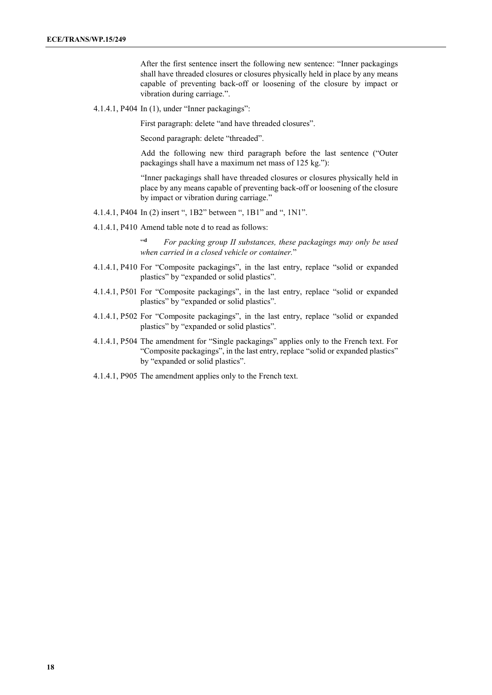After the first sentence insert the following new sentence: "Inner packagings shall have threaded closures or closures physically held in place by any means capable of preventing back-off or loosening of the closure by impact or vibration during carriage.".

4.1.4.1, P404 In (1), under "Inner packagings":

First paragraph: delete "and have threaded closures".

Second paragraph: delete "threaded".

Add the following new third paragraph before the last sentence ("Outer packagings shall have a maximum net mass of 125 kg."):

"Inner packagings shall have threaded closures or closures physically held in place by any means capable of preventing back-off or loosening of the closure by impact or vibration during carriage."

- 4.1.4.1, P404 In (2) insert ", 1B2" between ", 1B1" and ", 1N1".
- 4.1.4.1, P410 Amend table note d to read as follows:

"**<sup>d</sup>** *For packing group II substances, these packagings may only be used when carried in a closed vehicle or container.*"

- 4.1.4.1, P410 For "Composite packagings", in the last entry, replace "solid or expanded plastics" by "expanded or solid plastics".
- 4.1.4.1, P501 For "Composite packagings", in the last entry, replace "solid or expanded plastics" by "expanded or solid plastics".
- 4.1.4.1, P502 For "Composite packagings", in the last entry, replace "solid or expanded plastics" by "expanded or solid plastics".
- 4.1.4.1, P504 The amendment for "Single packagings" applies only to the French text. For "Composite packagings", in the last entry, replace "solid or expanded plastics" by "expanded or solid plastics".
- 4.1.4.1, P905 The amendment applies only to the French text.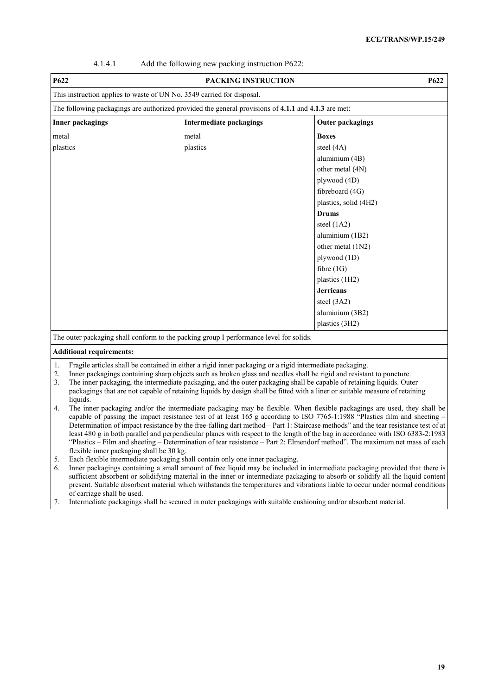| Add the following new packing instruction P622:<br>4.1.4.1 |  |
|------------------------------------------------------------|--|
|------------------------------------------------------------|--|

| P622                    | PACKING INSTRUCTION                                                                                 |                         | <b>P622</b> |
|-------------------------|-----------------------------------------------------------------------------------------------------|-------------------------|-------------|
|                         | This instruction applies to waste of UN No. 3549 carried for disposal.                              |                         |             |
|                         | The following packagings are authorized provided the general provisions of 4.1.1 and 4.1.3 are met: |                         |             |
| <b>Inner packagings</b> | Intermediate packagings                                                                             | <b>Outer packagings</b> |             |
| metal                   | metal                                                                                               | <b>Boxes</b>            |             |
| plastics                | plastics                                                                                            | steel (4A)              |             |
|                         |                                                                                                     | aluminium (4B)          |             |
|                         |                                                                                                     | other metal (4N)        |             |
|                         |                                                                                                     | plywood (4D)            |             |
|                         |                                                                                                     | fibreboard (4G)         |             |
|                         |                                                                                                     | plastics, solid (4H2)   |             |
|                         |                                                                                                     | <b>Drums</b>            |             |
|                         |                                                                                                     | steel $(1A2)$           |             |
|                         |                                                                                                     | aluminium (1B2)         |             |
|                         |                                                                                                     | other metal (1N2)       |             |
|                         |                                                                                                     | plywood (1D)            |             |
|                         |                                                                                                     | fibre $(1G)$            |             |
|                         |                                                                                                     | plastics (1H2)          |             |
|                         |                                                                                                     | <b>Jerricans</b>        |             |
|                         |                                                                                                     | steel (3A2)             |             |
|                         |                                                                                                     | aluminium (3B2)         |             |
|                         |                                                                                                     | plastics (3H2)          |             |
|                         | The outer packaging shall conform to the packing group I performance level for solids.              |                         |             |

#### **Additional requirements:**

1. Fragile articles shall be contained in either a rigid inner packaging or a rigid intermediate packaging.

- 2. Inner packagings containing sharp objects such as broken glass and needles shall be rigid and resistant to puncture.<br>3. The inner packaging, the intermediate packaging, and the outer packaging shall be capable of retain 3. The inner packaging, the intermediate packaging, and the outer packaging shall be capable of retaining liquids. Outer packagings that are not capable of retaining liquids by design shall be fitted with a liner or suitable measure of retaining liquids.
- 4. The inner packaging and/or the intermediate packaging may be flexible. When flexible packagings are used, they shall be capable of passing the impact resistance test of at least 165 g according to ISO 7765-1:1988 "Plastics film and sheeting – Determination of impact resistance by the free-falling dart method – Part 1: Staircase methods" and the tear resistance test of at least 480 g in both parallel and perpendicular planes with respect to the length of the bag in accordance with ISO 6383-2:1983 "Plastics – Film and sheeting – Determination of tear resistance – Part 2: Elmendorf method". The maximum net mass of each flexible inner packaging shall be 30 kg.

5. Each flexible intermediate packaging shall contain only one inner packaging.

6. Inner packagings containing a small amount of free liquid may be included in intermediate packaging provided that there is sufficient absorbent or solidifying material in the inner or intermediate packaging to absorb or solidify all the liquid content present. Suitable absorbent material which withstands the temperatures and vibrations liable to occur under normal conditions of carriage shall be used.

7. Intermediate packagings shall be secured in outer packagings with suitable cushioning and/or absorbent material.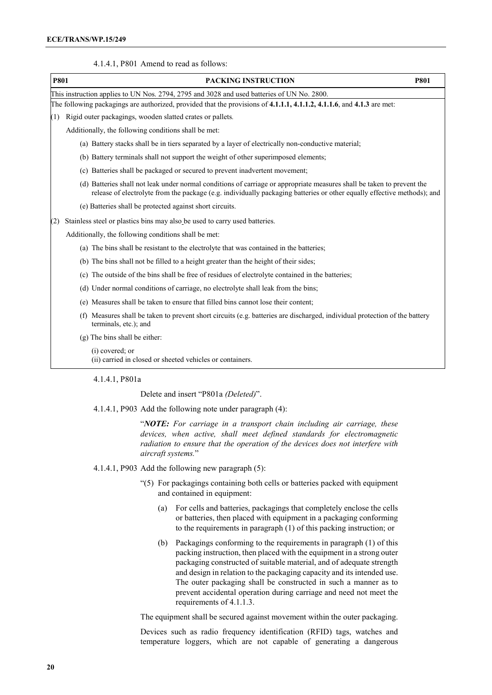| P801 | PACKING INSTRUCTION<br><b>P801</b>                                                                                                                                                                                                                |
|------|---------------------------------------------------------------------------------------------------------------------------------------------------------------------------------------------------------------------------------------------------|
|      | This instruction applies to UN Nos. 2794, 2795 and 3028 and used batteries of UN No. 2800.                                                                                                                                                        |
|      | The following packagings are authorized, provided that the provisions of 4.1.1.1, 4.1.1.2, 4.1.1.6, and 4.1.3 are met:                                                                                                                            |
|      | (1) Rigid outer packagings, wooden slatted crates or pallets.                                                                                                                                                                                     |
|      | Additionally, the following conditions shall be met:                                                                                                                                                                                              |
|      | (a) Battery stacks shall be in tiers separated by a layer of electrically non-conductive material;                                                                                                                                                |
|      | (b) Battery terminals shall not support the weight of other superimposed elements;                                                                                                                                                                |
|      | (c) Batteries shall be packaged or secured to prevent inadvertent movement;                                                                                                                                                                       |
|      | (d) Batteries shall not leak under normal conditions of carriage or appropriate measures shall be taken to prevent the<br>release of electrolyte from the package (e.g. individually packaging batteries or other equally effective methods); and |
|      | (e) Batteries shall be protected against short circuits.                                                                                                                                                                                          |
| (2)  | Stainless steel or plastics bins may also be used to carry used batteries.                                                                                                                                                                        |
|      | Additionally, the following conditions shall be met:                                                                                                                                                                                              |
|      | (a) The bins shall be resistant to the electrolyte that was contained in the batteries;                                                                                                                                                           |
|      | (b) The bins shall not be filled to a height greater than the height of their sides;                                                                                                                                                              |
|      | (c) The outside of the bins shall be free of residues of electrolyte contained in the batteries;                                                                                                                                                  |
|      | (d) Under normal conditions of carriage, no electrolyte shall leak from the bins;                                                                                                                                                                 |
|      | (e) Measures shall be taken to ensure that filled bins cannot lose their content;                                                                                                                                                                 |
|      | (f) Measures shall be taken to prevent short circuits (e.g. batteries are discharged, individual protection of the battery<br>terminals, etc.); and                                                                                               |
|      | (g) The bins shall be either:                                                                                                                                                                                                                     |
|      | (i) covered; or<br>(ii) carried in closed or sheeted vehicles or containers.                                                                                                                                                                      |
|      | 4.1.4.1, P801a                                                                                                                                                                                                                                    |
|      | Delete and insert "P801a (Deleted)".                                                                                                                                                                                                              |
|      | 4.1.4.1, P903 Add the following note under paragraph (4):                                                                                                                                                                                         |

"*NOTE: For carriage in a transport chain including air carriage, these devices, when active, shall meet defined standards for electromagnetic radiation to ensure that the operation of the devices does not interfere with aircraft systems.*"

#### 4.1.4.1, P903 Add the following new paragraph (5):

- "(5) For packagings containing both cells or batteries packed with equipment and contained in equipment:
	- (a) For cells and batteries, packagings that completely enclose the cells or batteries, then placed with equipment in a packaging conforming to the requirements in paragraph (1) of this packing instruction; or
	- (b) Packagings conforming to the requirements in paragraph (1) of this packing instruction, then placed with the equipment in a strong outer packaging constructed of suitable material, and of adequate strength and design in relation to the packaging capacity and its intended use. The outer packaging shall be constructed in such a manner as to prevent accidental operation during carriage and need not meet the requirements of 4.1.1.3.

The equipment shall be secured against movement within the outer packaging.

Devices such as radio frequency identification (RFID) tags, watches and temperature loggers, which are not capable of generating a dangerous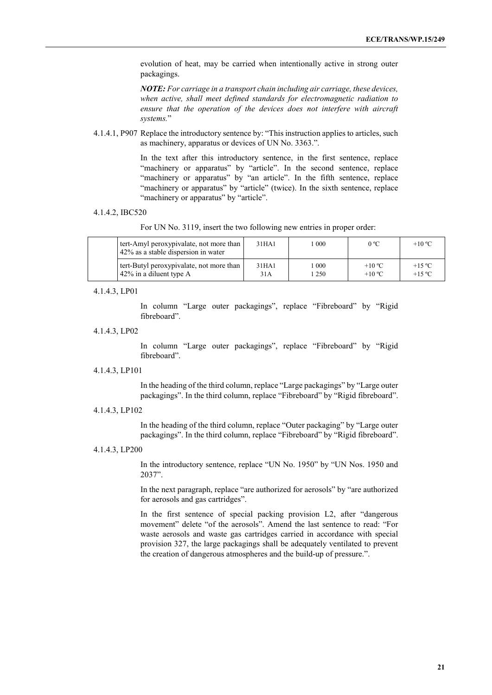evolution of heat, may be carried when intentionally active in strong outer packagings.

*NOTE: For carriage in a transport chain including air carriage, these devices, when active, shall meet defined standards for electromagnetic radiation to ensure that the operation of the devices does not interfere with aircraft systems.*"

4.1.4.1, P907 Replace the introductory sentence by: "This instruction applies to articles, such as machinery, apparatus or devices of UN No. 3363.".

> In the text after this introductory sentence, in the first sentence, replace "machinery or apparatus" by "article". In the second sentence, replace "machinery or apparatus" by "an article". In the fifth sentence, replace "machinery or apparatus" by "article" (twice). In the sixth sentence, replace "machinery or apparatus" by "article".

#### 4.1.4.2, IBC520

For UN No. 3119, insert the two following new entries in proper order:

| tert-Amyl peroxypivalate, not more than<br>42% as a stable dispersion in water | 31HA1             | 000  | $0^{\circ}$ C   | $+10^{\circ}$ C |
|--------------------------------------------------------------------------------|-------------------|------|-----------------|-----------------|
| tert-Butyl peroxypivalate, not more than                                       | 31 <sub>HA1</sub> | 000  | $+10^{\circ}$ C | $+15$ °C        |
| $42\%$ in a diluent type A                                                     | 31A               | 1250 | $+10^{\circ}$ C | $+15$ °C        |

#### 4.1.4.3, LP01

In column "Large outer packagings", replace "Fibreboard" by "Rigid fibreboard".

4.1.4.3, LP02

In column "Large outer packagings", replace "Fibreboard" by "Rigid fibreboard".

#### 4.1.4.3, LP101

In the heading of the third column, replace "Large packagings" by "Large outer packagings". In the third column, replace "Fibreboard" by "Rigid fibreboard".

4.1.4.3, LP102

In the heading of the third column, replace "Outer packaging" by "Large outer packagings". In the third column, replace "Fibreboard" by "Rigid fibreboard".

#### 4.1.4.3, LP200

In the introductory sentence, replace "UN No. 1950" by "UN Nos. 1950 and 2037".

In the next paragraph, replace "are authorized for aerosols" by "are authorized for aerosols and gas cartridges".

In the first sentence of special packing provision L2, after "dangerous movement" delete "of the aerosols". Amend the last sentence to read: "For waste aerosols and waste gas cartridges carried in accordance with special provision 327, the large packagings shall be adequately ventilated to prevent the creation of dangerous atmospheres and the build-up of pressure.".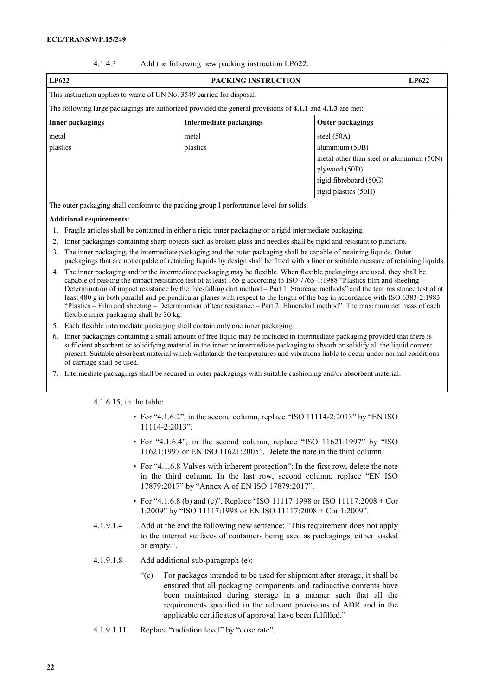#### 4.1.4.3 Add the following new packing instruction LP622:

| LP622                                                                  | <b>PACKING INSTRUCTION</b>                                                                                | LP622                                     |
|------------------------------------------------------------------------|-----------------------------------------------------------------------------------------------------------|-------------------------------------------|
| This instruction applies to waste of UN No. 3549 carried for disposal. |                                                                                                           |                                           |
|                                                                        | The following large packagings are authorized provided the general provisions of 4.1.1 and 4.1.3 are met: |                                           |
| Inner packagings                                                       | Intermediate packagings                                                                                   | <b>Outer packagings</b>                   |
| metal                                                                  | metal                                                                                                     | steel $(50A)$                             |
| plastics                                                               | plastics                                                                                                  | aluminium (50B)                           |
|                                                                        |                                                                                                           | metal other than steel or aluminium (50N) |
|                                                                        |                                                                                                           | plywood (50D)                             |
|                                                                        |                                                                                                           | rigid fibreboard (50G)                    |
|                                                                        |                                                                                                           | rigid plastics (50H)                      |

The outer packaging shall conform to the packing group I performance level for solids.

#### **Additional requirements**:

- 1. Fragile articles shall be contained in either a rigid inner packaging or a rigid intermediate packaging.
- 2. Inner packagings containing sharp objects such as broken glass and needles shall be rigid and resistant to puncture.
- 3. The inner packaging, the intermediate packaging and the outer packaging shall be capable of retaining liquids. Outer packagings that are not capable of retaining liquids by design shall be fitted with a liner or suitable measure of retaining liquids.
- 4. The inner packaging and/or the intermediate packaging may be flexible. When flexible packagings are used, they shall be capable of passing the impact resistance test of at least 165 g according to ISO 7765-1:1988 "Plastics film and sheeting – Determination of impact resistance by the free-falling dart method – Part 1: Staircase methods" and the tear resistance test of at least 480 g in both parallel and perpendicular planes with respect to the length of the bag in accordance with ISO 6383-2:1983 "Plastics – Film and sheeting – Determination of tear resistance – Part 2: Elmendorf method". The maximum net mass of each flexible inner packaging shall be 30 kg.
- 5. Each flexible intermediate packaging shall contain only one inner packaging.
- 6. Inner packagings containing a small amount of free liquid may be included in intermediate packaging provided that there is sufficient absorbent or solidifying material in the inner or intermediate packaging to absorb or solidify all the liquid content present. Suitable absorbent material which withstands the temperatures and vibrations liable to occur under normal conditions of carriage shall be used.
- 7. Intermediate packagings shall be secured in outer packagings with suitable cushioning and/or absorbent material.

4.1.6.15, in the table:

- For "4.1.6.2", in the second column, replace "ISO 11114-2:2013" by "EN ISO 11114-2:2013".
- For "4.1.6.4", in the second column, replace "ISO 11621:1997" by "ISO 11621:1997 or EN ISO 11621:2005". Delete the note in the third column.
- For "4.1.6.8 Valves with inherent protection": In the first row, delete the note in the third column. In the last row, second column, replace "EN ISO 17879:2017" by "Annex A of EN ISO 17879:2017".
- For "4.1.6.8 (b) and (c)", Replace "ISO 11117:1998 or ISO 11117:2008 + Cor 1:2009" by "ISO 11117:1998 or EN ISO 11117:2008 + Cor 1:2009".
- 4.1.9.1.4 Add at the end the following new sentence: "This requirement does not apply to the internal surfaces of containers being used as packagings, either loaded or empty.".
- 4.1.9.1.8 Add additional sub-paragraph (e):
	- "(e) For packages intended to be used for shipment after storage, it shall be ensured that all packaging components and radioactive contents have been maintained during storage in a manner such that all the requirements specified in the relevant provisions of ADR and in the applicable certificates of approval have been fulfilled."
- 4.1.9.1.11 Replace "radiation level" by "dose rate".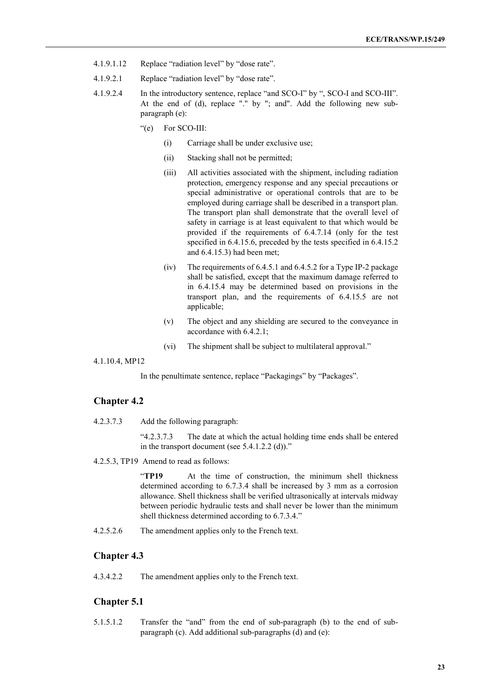- 4.1.9.1.12 Replace "radiation level" by "dose rate".
- 4.1.9.2.1 Replace "radiation level" by "dose rate".
- 4.1.9.2.4 In the introductory sentence, replace "and SCO-I" by ", SCO-I and SCO-III". At the end of (d), replace "." by "; and". Add the following new subparagraph (e):
	- "(e) For SCO-III:
		- (i) Carriage shall be under exclusive use;
		- (ii) Stacking shall not be permitted;
		- (iii) All activities associated with the shipment, including radiation protection, emergency response and any special precautions or special administrative or operational controls that are to be employed during carriage shall be described in a transport plan. The transport plan shall demonstrate that the overall level of safety in carriage is at least equivalent to that which would be provided if the requirements of 6.4.7.14 (only for the test specified in 6.4.15.6, preceded by the tests specified in 6.4.15.2 and 6.4.15.3) had been met;
		- (iv) The requirements of 6.4.5.1 and 6.4.5.2 for a Type IP-2 package shall be satisfied, except that the maximum damage referred to in 6.4.15.4 may be determined based on provisions in the transport plan, and the requirements of 6.4.15.5 are not applicable;
		- (v) The object and any shielding are secured to the conveyance in accordance with 6.4.2.1;
		- (vi) The shipment shall be subject to multilateral approval."

4.1.10.4, MP12

In the penultimate sentence, replace "Packagings" by "Packages".

## **Chapter 4.2**

4.2.3.7.3 Add the following paragraph:

"4.2.3.7.3 The date at which the actual holding time ends shall be entered in the transport document (see 5.4.1.2.2 (d))."

4.2.5.3, TP19 Amend to read as follows:

"**TP19** At the time of construction, the minimum shell thickness determined according to 6.7.3.4 shall be increased by 3 mm as a corrosion allowance. Shell thickness shall be verified ultrasonically at intervals midway between periodic hydraulic tests and shall never be lower than the minimum shell thickness determined according to 6.7.3.4."

4.2.5.2.6 The amendment applies only to the French text.

## **Chapter 4.3**

4.3.4.2.2 The amendment applies only to the French text.

#### **Chapter 5.1**

5.1.5.1.2 Transfer the "and" from the end of sub-paragraph (b) to the end of subparagraph (c). Add additional sub-paragraphs (d) and (e):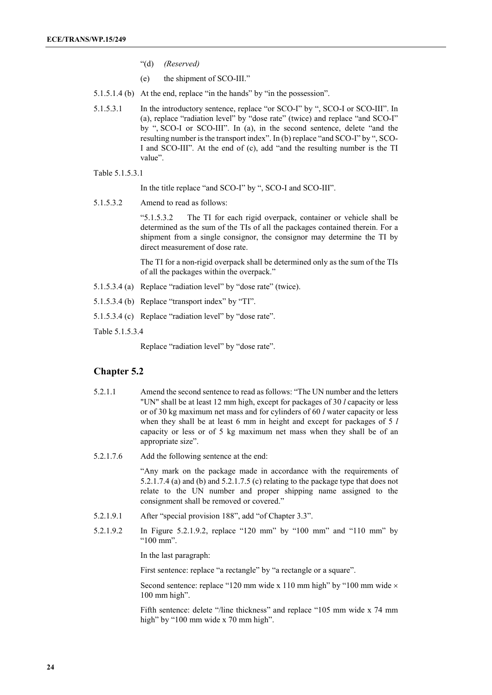- "(d) *(Reserved)*
- (e) the shipment of SCO-III."
- 5.1.5.1.4 (b) At the end, replace "in the hands" by "in the possession".
- 5.1.5.3.1 In the introductory sentence, replace "or SCO-I" by ", SCO-I or SCO-III". In (a), replace "radiation level" by "dose rate" (twice) and replace "and SCO-I" by ", SCO-I or SCO-III". In (a), in the second sentence, delete "and the resulting number is the transport index". In (b) replace "and SCO-I" by ", SCO-I and SCO-III". At the end of (c), add "and the resulting number is the TI value".
- Table 5.1.5.3.1

In the title replace "and SCO-I" by ", SCO-I and SCO-III".

5.1.5.3.2 Amend to read as follows:

"5.1.5.3.2 The TI for each rigid overpack, container or vehicle shall be determined as the sum of the TIs of all the packages contained therein. For a shipment from a single consignor, the consignor may determine the TI by direct measurement of dose rate.

The TI for a non-rigid overpack shall be determined only as the sum of the TIs of all the packages within the overpack."

- 5.1.5.3.4 (a) Replace "radiation level" by "dose rate" (twice).
- 5.1.5.3.4 (b) Replace "transport index" by "TI".
- 5.1.5.3.4 (c) Replace "radiation level" by "dose rate".
- Table 5.1.5.3.4

Replace "radiation level" by "dose rate".

#### **Chapter 5.2**

- 5.2.1.1 Amend the second sentence to read as follows: "The UN number and the letters "UN" shall be at least 12 mm high, except for packages of 30 *l* capacity or less or of 30 kg maximum net mass and for cylinders of 60 *l* water capacity or less when they shall be at least 6 mm in height and except for packages of 5 *l* capacity or less or of 5 kg maximum net mass when they shall be of an appropriate size".
- 5.2.1.7.6 Add the following sentence at the end:

"Any mark on the package made in accordance with the requirements of 5.2.1.7.4 (a) and (b) and 5.2.1.7.5 (c) relating to the package type that does not relate to the UN number and proper shipping name assigned to the consignment shall be removed or covered."

- 5.2.1.9.1 After "special provision 188", add "of Chapter 3.3".
- 5.2.1.9.2 In Figure 5.2.1.9.2, replace "120 mm" by "100 mm" and "110 mm" by "100 mm".

In the last paragraph:

First sentence: replace "a rectangle" by "a rectangle or a square".

Second sentence: replace "120 mm wide x 110 mm high" by "100 mm wide  $\times$ 100 mm high".

Fifth sentence: delete "/line thickness" and replace "105 mm wide x 74 mm high" by "100 mm wide x 70 mm high".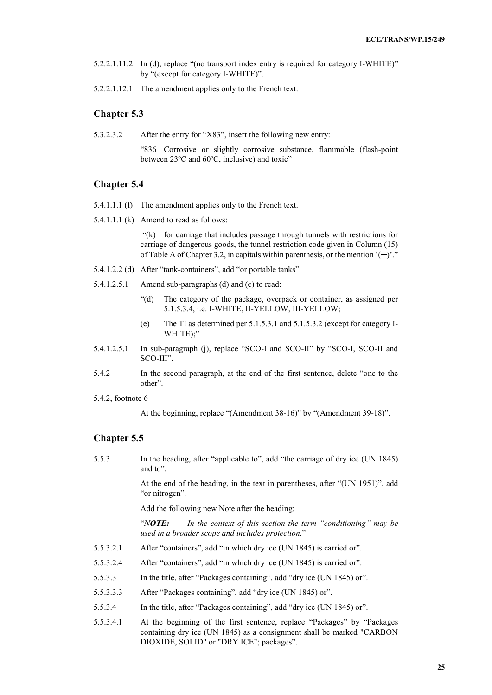- 5.2.2.1.11.2 In (d), replace "(no transport index entry is required for category I-WHITE)" by "(except for category I-WHITE)".
- 5.2.2.1.12.1 The amendment applies only to the French text.

## **Chapter 5.3**

5.3.2.3.2 After the entry for "X83", insert the following new entry:

"836 Corrosive or slightly corrosive substance, flammable (flash-point between 23ºC and 60ºC, inclusive) and toxic"

#### **Chapter 5.4**

- 5.4.1.1.1 (f) The amendment applies only to the French text.
- 5.4.1.1.1 (k) Amend to read as follows:

"(k) for carriage that includes passage through tunnels with restrictions for carriage of dangerous goods, the tunnel restriction code given in Column (15) of Table A of Chapter 3.2, in capitals within parenthesis, or the mention  $'(-)$ ."

- 5.4.1.2.2 (d) After "tank-containers", add "or portable tanks".
- 5.4.1.2.5.1 Amend sub-paragraphs (d) and (e) to read:
	- "(d) The category of the package, overpack or container, as assigned per 5.1.5.3.4, i.e. I-WHITE, II-YELLOW, III-YELLOW;
	- (e) The TI as determined per 5.1.5.3.1 and 5.1.5.3.2 (except for category I-WHITE);"
- 5.4.1.2.5.1 In sub-paragraph (j), replace "SCO-I and SCO-II" by "SCO-I, SCO-II and SCO-III".
- 5.4.2 In the second paragraph, at the end of the first sentence, delete "one to the other".
- 5.4.2, footnote 6

At the beginning, replace "(Amendment 38-16)" by "(Amendment 39-18)".

## **Chapter 5.5**

5.5.3 In the heading, after "applicable to", add "the carriage of dry ice (UN 1845) and to".

> At the end of the heading, in the text in parentheses, after "(UN 1951)", add "or nitrogen".

Add the following new Note after the heading:

"*NOTE: In the context of this section the term "conditioning" may be used in a broader scope and includes protection.*"

- 5.5.3.2.1 After "containers", add "in which dry ice (UN 1845) is carried or".
- 5.5.3.2.4 After "containers", add "in which dry ice (UN 1845) is carried or".
- 5.5.3.3 In the title, after "Packages containing", add "dry ice (UN 1845) or".
- 5.5.3.3.3 After "Packages containing", add "dry ice (UN 1845) or".
- 5.5.3.4 In the title, after "Packages containing", add "dry ice (UN 1845) or".
- 5.5.3.4.1 At the beginning of the first sentence, replace "Packages" by "Packages containing dry ice (UN 1845) as a consignment shall be marked "CARBON DIOXIDE, SOLID" or "DRY ICE"; packages".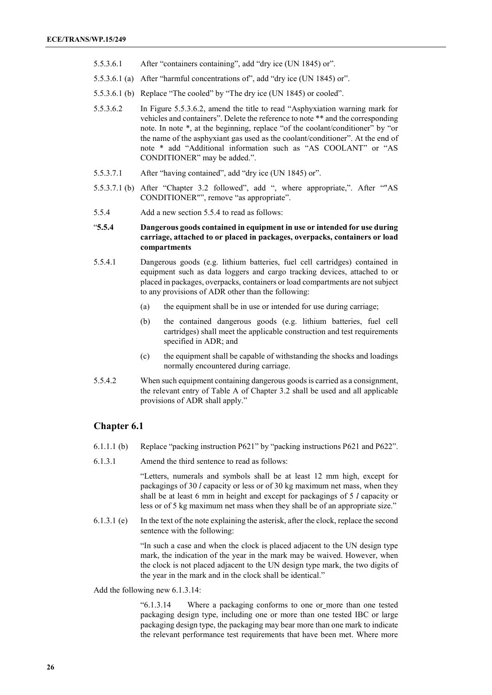- 5.5.3.6.1 After "containers containing", add "dry ice (UN 1845) or".
- 5.5.3.6.1 (a) After "harmful concentrations of", add "dry ice (UN 1845) or".
- 5.5.3.6.1 (b) Replace "The cooled" by "The dry ice (UN 1845) or cooled".
- 5.5.3.6.2 In Figure 5.5.3.6.2, amend the title to read "Asphyxiation warning mark for vehicles and containers". Delete the reference to note \*\* and the corresponding note. In note \*, at the beginning, replace "of the coolant/conditioner" by "or the name of the asphyxiant gas used as the coolant/conditioner". At the end of note \* add "Additional information such as "AS COOLANT" or "AS CONDITIONER" may be added.".
- 5.5.3.7.1 After "having contained", add "dry ice (UN 1845) or".
- 5.5.3.7.1 (b) After "Chapter 3.2 followed", add ", where appropriate,". After ""AS CONDITIONER"", remove "as appropriate".
- 5.5.4 Add a new section 5.5.4 to read as follows:

### "**5.5.4 Dangerous goods contained in equipment in use or intended for use during carriage, attached to or placed in packages, overpacks, containers or load compartments**

- 5.5.4.1 Dangerous goods (e.g. lithium batteries, fuel cell cartridges) contained in equipment such as data loggers and cargo tracking devices, attached to or placed in packages, overpacks, containers or load compartments are not subject to any provisions of ADR other than the following:
	- (a) the equipment shall be in use or intended for use during carriage;
	- (b) the contained dangerous goods (e.g. lithium batteries, fuel cell cartridges) shall meet the applicable construction and test requirements specified in ADR; and
	- (c) the equipment shall be capable of withstanding the shocks and loadings normally encountered during carriage.
- 5.5.4.2 When such equipment containing dangerous goods is carried as a consignment, the relevant entry of Table A of Chapter 3.2 shall be used and all applicable provisions of ADR shall apply."

## **Chapter 6.1**

- 6.1.1.1 (b) Replace "packing instruction P621" by "packing instructions P621 and P622".
- 6.1.3.1 Amend the third sentence to read as follows:

"Letters, numerals and symbols shall be at least 12 mm high, except for packagings of 30 *l* capacity or less or of 30 kg maximum net mass, when they shall be at least 6 mm in height and except for packagings of 5 *l* capacity or less or of 5 kg maximum net mass when they shall be of an appropriate size."

6.1.3.1 (e) In the text of the note explaining the asterisk, after the clock, replace the second sentence with the following:

> "In such a case and when the clock is placed adjacent to the UN design type mark, the indication of the year in the mark may be waived. However, when the clock is not placed adjacent to the UN design type mark, the two digits of the year in the mark and in the clock shall be identical."

Add the following new 6.1.3.14:

"6.1.3.14 Where a packaging conforms to one or more than one tested packaging design type, including one or more than one tested IBC or large packaging design type, the packaging may bear more than one mark to indicate the relevant performance test requirements that have been met. Where more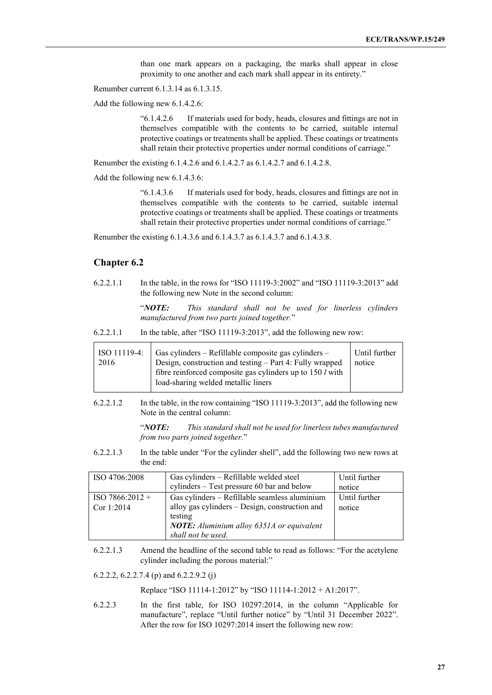than one mark appears on a packaging, the marks shall appear in close proximity to one another and each mark shall appear in its entirety."

Renumber current 6.1.3.14 as 6.1.3.15.

Add the following new 6.1.4.2.6:

"6.1.4.2.6 If materials used for body, heads, closures and fittings are not in themselves compatible with the contents to be carried, suitable internal protective coatings or treatments shall be applied. These coatings or treatments shall retain their protective properties under normal conditions of carriage."

Renumber the existing 6.1.4.2.6 and 6.1.4.2.7 as 6.1.4.2.7 and 6.1.4.2.8.

Add the following new 6.1.4.3.6:

"6.1.4.3.6 If materials used for body, heads, closures and fittings are not in themselves compatible with the contents to be carried, suitable internal protective coatings or treatments shall be applied. These coatings or treatments shall retain their protective properties under normal conditions of carriage."

Renumber the existing 6.1.4.3.6 and 6.1.4.3.7 as 6.1.4.3.7 and 6.1.4.3.8.

#### **Chapter 6.2**

6.2.2.1.1 In the table, in the rows for "ISO 11119-3:2002" and "ISO 11119-3:2013" add the following new Note in the second column:

> "*NOTE: This standard shall not be used for linerless cylinders manufactured from two parts joined together.*"

6.2.2.1.1 In the table, after "ISO 11119-3:2013", add the following new row:

|      | ISO 11119-4:   Gas cylinders – Refillable composite gas cylinders – | Until further |
|------|---------------------------------------------------------------------|---------------|
| 2016 | Design, construction and testing – Part 4: Fully wrapped            | notice        |
|      | fibre reinforced composite gas cylinders up to 150 l with           |               |
|      | load-sharing welded metallic liners                                 |               |

6.2.2.1.2 In the table, in the row containing "ISO 11119-3:2013", add the following new Note in the central column:

> "*NOTE: This standard shall not be used for linerless tubes manufactured from two parts joined together.*"

6.2.2.1.3 In the table under "For the cylinder shell", add the following two new rows at the end:

| ISO 4706:2008     | Gas cylinders - Refillable welded steel          | Until further |
|-------------------|--------------------------------------------------|---------------|
|                   | cylinders – Test pressure 60 bar and below       | notice        |
| $ISO 7866:2012 +$ | Gas cylinders - Refillable seamless aluminium    | Until further |
| Cor 1:2014        | alloy gas cylinders – Design, construction and   | notice        |
|                   | testing                                          |               |
|                   | <b>NOTE:</b> Aluminium alloy 6351A or equivalent |               |
|                   | shall not be used.                               |               |

6.2.2.1.3 Amend the headline of the second table to read as follows: "For the acetylene cylinder including the porous material:"

6.2.2.2, 6.2.2.7.4 (p) and 6.2.2.9.2 (j)

Replace "ISO 11114-1:2012" by "ISO 11114-1:2012 + A1:2017".

6.2.2.3 In the first table, for ISO 10297:2014, in the column "Applicable for manufacture", replace "Until further notice" by "Until 31 December 2022". After the row for ISO 10297:2014 insert the following new row: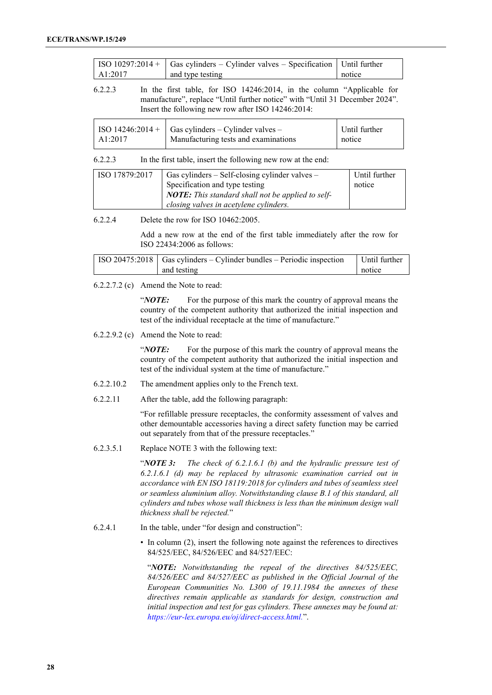|         | $\vert$ ISO 10297:2014 + $\vert$ Gas cylinders – Cylinder valves – Specification $\vert$ Until further |        |
|---------|--------------------------------------------------------------------------------------------------------|--------|
| A1:2017 | and type testing                                                                                       | notice |

6.2.2.3 In the first table, for ISO 14246:2014, in the column "Applicable for manufacture", replace "Until further notice" with "Until 31 December 2024". Insert the following new row after ISO 14246:2014:

|         | $\vert$ ISO 14246:2014 + $\vert$ Gas cylinders – Cylinder valves – | Until further |
|---------|--------------------------------------------------------------------|---------------|
| AA:2017 | Manufacturing tests and examinations                               | notice        |

#### 6.2.2.3 In the first table, insert the following new row at the end:

| ISO 17879:2017 | Gas cylinders $-$ Self-closing cylinder valves $-$       | Until further |
|----------------|----------------------------------------------------------|---------------|
|                | Specification and type testing                           | notice        |
|                | <b>NOTE:</b> This standard shall not be applied to self- |               |
|                | closing valves in acetylene cylinders.                   |               |

#### 6.2.2.4 Delete the row for ISO 10462:2005.

Add a new row at the end of the first table immediately after the row for ISO 22434:2006 as follows:

| $\vert$ ISO 20475:2018 $\vert$ Gas cylinders – Cylinder bundles – Periodic inspection | Until further |
|---------------------------------------------------------------------------------------|---------------|
| and testing                                                                           | notice        |

#### 6.2.2.7.2 (c) Amend the Note to read:

"*NOTE*: For the purpose of this mark the country of approval means the country of the competent authority that authorized the initial inspection and test of the individual receptacle at the time of manufacture."

#### 6.2.2.9.2 (c) Amend the Note to read:

"*NOTE*: For the purpose of this mark the country of approval means the country of the competent authority that authorized the initial inspection and test of the individual system at the time of manufacture."

- 6.2.2.10.2 The amendment applies only to the French text.
- 6.2.2.11 After the table, add the following paragraph:

"For refillable pressure receptacles, the conformity assessment of valves and other demountable accessories having a direct safety function may be carried out separately from that of the pressure receptacles."

6.2.3.5.1 Replace NOTE 3 with the following text:

"*NOTE 3: The check of 6.2.1.6.1 (b) and the hydraulic pressure test of 6.2.1.6.1 (d) may be replaced by ultrasonic examination carried out in accordance with EN ISO 18119:2018 for cylinders and tubes of seamless steel or seamless aluminium alloy. Notwithstanding clause B.1 of this standard, all cylinders and tubes whose wall thickness is less than the minimum design wall thickness shall be rejected.*"

- 6.2.4.1 In the table, under "for design and construction":
	- In column (2), insert the following note against the references to directives 84/525/EEC, 84/526/EEC and 84/527/EEC:

"*NOTE: Notwithstanding the repeal of the directives 84/525/EEC, 84/526/EEC and 84/527/EEC as published in the Official Journal of the European Communities No. L300 of 19.11.1984 the annexes of these directives remain applicable as standards for design, construction and initial inspection and test for gas cylinders. These annexes may be found at: [https://eur-lex.europa.eu/oj/direct-access.html.](https://eur-lex.europa.eu/oj/direct-access.html)*".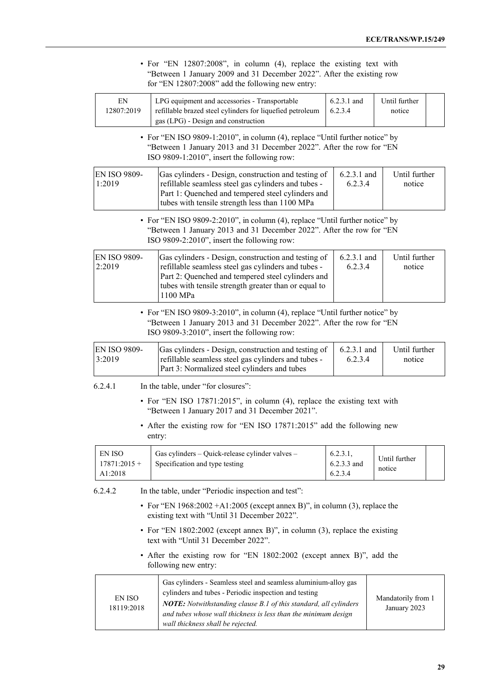|                                            | • For "EN 12807:2008", in column (4), replace the existing text with<br>"Between 1 January 2009 and 31 December 2022". After the existing row<br>for "EN 12807:2008" add the following new entry:                                                                                                   |                                    |                          |                                    |  |
|--------------------------------------------|-----------------------------------------------------------------------------------------------------------------------------------------------------------------------------------------------------------------------------------------------------------------------------------------------------|------------------------------------|--------------------------|------------------------------------|--|
| EN<br>12807:2019                           | LPG equipment and accessories - Transportable<br>refillable brazed steel cylinders for liquefied petroleum<br>gas (LPG) - Design and construction                                                                                                                                                   | $6.2.3.1$ and<br>6.2.3.4           |                          | Until further<br>notice            |  |
|                                            | • For "EN ISO 9809-1:2010", in column (4), replace "Until further notice" by<br>"Between 1 January 2013 and 31 December 2022". After the row for "EN<br>ISO 9809-1:2010", insert the following row:                                                                                                 |                                    |                          |                                    |  |
| 1:2019                                     | EN ISO 9809-<br>Gas cylinders - Design, construction and testing of<br>6.2.3.1 and<br>refillable seamless steel gas cylinders and tubes -<br>Part 1: Quenched and tempered steel cylinders and<br>tubes with tensile strength less than 1100 MPa                                                    |                                    | 6.2.3.4                  | Until further<br>notice            |  |
|                                            | • For "EN ISO 9809-2:2010", in column (4), replace "Until further notice" by<br>"Between 1 January 2013 and 31 December 2022". After the row for "EN<br>ISO 9809-2:2010", insert the following row:                                                                                                 |                                    |                          |                                    |  |
| <b>EN ISO 9809-</b><br>2:2019              | Gas cylinders - Design, construction and testing of<br>refillable seamless steel gas cylinders and tubes -<br>Part 2: Quenched and tempered steel cylinders and<br>tubes with tensile strength greater than or equal to<br>1100 MPa                                                                 |                                    | $6.2.3.1$ and<br>6.2.3.4 | Until further<br>notice            |  |
|                                            | • For "EN ISO 9809-3:2010", in column (4), replace "Until further notice" by<br>"Between 1 January 2013 and 31 December 2022". After the row for "EN<br>ISO 9809-3:2010", insert the following row:                                                                                                 |                                    |                          |                                    |  |
| EN ISO 9809-<br>3:2019                     | Gas cylinders - Design, construction and testing of<br>refillable seamless steel gas cylinders and tubes -<br>Part 3: Normalized steel cylinders and tubes                                                                                                                                          |                                    | 6.2.3.1 and<br>6.2.3.4   | Until further<br>notice            |  |
| 6.2.4.1                                    | In the table, under "for closures":                                                                                                                                                                                                                                                                 |                                    |                          |                                    |  |
|                                            | • For "EN ISO 17871:2015", in column (4), replace the existing text with<br>"Between 1 January 2017 and 31 December 2021".                                                                                                                                                                          |                                    |                          |                                    |  |
|                                            | • After the existing row for "EN ISO 17871:2015" add the following new<br>entry:                                                                                                                                                                                                                    |                                    |                          |                                    |  |
| <b>EN ISO</b><br>$17871:2015 +$<br>A1:2018 | Gas cylinders - Quick-release cylinder valves -<br>Specification and type testing                                                                                                                                                                                                                   | 6.2.3.1,<br>6.2.3.3 and<br>6.2.3.4 |                          | Until further<br>notice            |  |
| 6.2.4.2                                    | In the table, under "Periodic inspection and test":                                                                                                                                                                                                                                                 |                                    |                          |                                    |  |
|                                            | • For "EN 1968:2002 +A1:2005 (except annex B)", in column (3), replace the<br>existing text with "Until 31 December 2022".                                                                                                                                                                          |                                    |                          |                                    |  |
|                                            | • For "EN 1802:2002 (except annex B)", in column (3), replace the existing<br>text with "Until 31 December 2022".                                                                                                                                                                                   |                                    |                          |                                    |  |
|                                            | • After the existing row for "EN 1802:2002 (except annex B)", add the<br>following new entry:                                                                                                                                                                                                       |                                    |                          |                                    |  |
| EN ISO<br>18119:2018                       | Gas cylinders - Seamless steel and seamless aluminium-alloy gas<br>cylinders and tubes - Periodic inspection and testing<br>NOTE: Notwithstanding clause B.1 of this standard, all cylinders<br>and tubes whose wall thickness is less than the minimum design<br>wall thickness shall be rejected. |                                    |                          | Mandatorily from 1<br>January 2023 |  |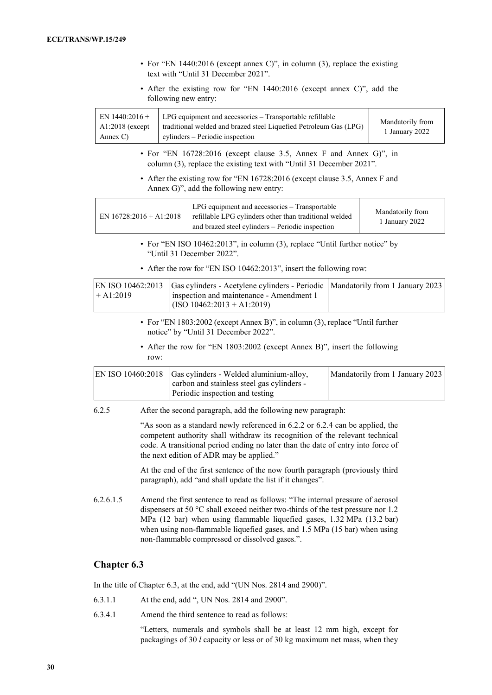| • For "EN 1440:2016 (except annex C)", in column (3), replace the existing<br>text with "Until 31 December 2021".                                                                                                                                                                             |                                                                                                                                                                                  |                                                                                                                                                                                |  |                                    |
|-----------------------------------------------------------------------------------------------------------------------------------------------------------------------------------------------------------------------------------------------------------------------------------------------|----------------------------------------------------------------------------------------------------------------------------------------------------------------------------------|--------------------------------------------------------------------------------------------------------------------------------------------------------------------------------|--|------------------------------------|
|                                                                                                                                                                                                                                                                                               | following new entry:                                                                                                                                                             | • After the existing row for "EN 1440:2016 (except annex C)", add the                                                                                                          |  |                                    |
| EN $1440:2016+$<br>A1:2018 (except<br>Annex C)                                                                                                                                                                                                                                                |                                                                                                                                                                                  | LPG equipment and accessories - Transportable refillable<br>traditional welded and brazed steel Liquefied Petroleum Gas (LPG)<br>cylinders - Periodic inspection               |  | Mandatorily from<br>1 January 2022 |
|                                                                                                                                                                                                                                                                                               |                                                                                                                                                                                  | • For "EN 16728:2016 (except clause 3.5, Annex F and Annex G)", in<br>column (3), replace the existing text with "Until 31 December 2021".                                     |  |                                    |
|                                                                                                                                                                                                                                                                                               |                                                                                                                                                                                  | • After the existing row for "EN 16728:2016 (except clause 3.5, Annex F and<br>Annex G)", add the following new entry:                                                         |  |                                    |
| EN $16728:2016 + A1:2018$                                                                                                                                                                                                                                                                     |                                                                                                                                                                                  | LPG equipment and accessories - Transportable<br>refillable LPG cylinders other than traditional welded<br>and brazed steel cylinders - Periodic inspection                    |  | Mandatorily from<br>1 January 2022 |
|                                                                                                                                                                                                                                                                                               |                                                                                                                                                                                  | • For "EN ISO 10462:2013", in column (3), replace "Until further notice" by<br>"Until 31 December 2022".<br>• After the row for "EN ISO 10462:2013", insert the following row: |  |                                    |
| EN ISO 10462:2013<br>Gas cylinders - Acetylene cylinders - Periodic<br>Mandatorily from 1 January 2023<br>$+A1:2019$<br>inspection and maintenance - Amendment 1<br>$(ISO 10462:2013 + A1:2019)$                                                                                              |                                                                                                                                                                                  |                                                                                                                                                                                |  |                                    |
|                                                                                                                                                                                                                                                                                               |                                                                                                                                                                                  | • For "EN 1803:2002 (except Annex B)", in column (3), replace "Until further<br>notice" by "Until 31 December 2022".                                                           |  |                                    |
|                                                                                                                                                                                                                                                                                               | row:                                                                                                                                                                             | • After the row for "EN 1803:2002 (except Annex B)", insert the following                                                                                                      |  |                                    |
|                                                                                                                                                                                                                                                                                               | Gas cylinders - Welded aluminium-alloy,<br>EN ISO 10460:2018<br>Mandatorily from 1 January 2023<br>carbon and stainless steel gas cylinders -<br>Periodic inspection and testing |                                                                                                                                                                                |  |                                    |
| 6.2.5                                                                                                                                                                                                                                                                                         |                                                                                                                                                                                  | After the second paragraph, add the following new paragraph:                                                                                                                   |  |                                    |
| "As soon as a standard newly referenced in 6.2.2 or 6.2.4 can be applied, the<br>competent authority shall withdraw its recognition of the relevant technical<br>code. A transitional period ending no later than the date of entry into force of<br>the next edition of ADR may be applied." |                                                                                                                                                                                  |                                                                                                                                                                                |  |                                    |
|                                                                                                                                                                                                                                                                                               |                                                                                                                                                                                  | At the end of the first sentence of the now fourth paragraph (previously third<br>paragraph), add "and shall update the list if it changes".                                   |  |                                    |

6.2.6.1.5 Amend the first sentence to read as follows: "The internal pressure of aerosol dispensers at 50 °C shall exceed neither two-thirds of the test pressure nor 1.2 MPa (12 bar) when using flammable liquefied gases, 1.32 MPa (13.2 bar) when using non-flammable liquefied gases, and 1.5 MPa (15 bar) when using non-flammable compressed or dissolved gases.".

## **Chapter 6.3**

In the title of Chapter 6.3, at the end, add "(UN Nos. 2814 and 2900)".

- 6.3.1.1 At the end, add ", UN Nos. 2814 and 2900".
- 6.3.4.1 Amend the third sentence to read as follows:

"Letters, numerals and symbols shall be at least 12 mm high, except for packagings of 30 *l* capacity or less or of 30 kg maximum net mass, when they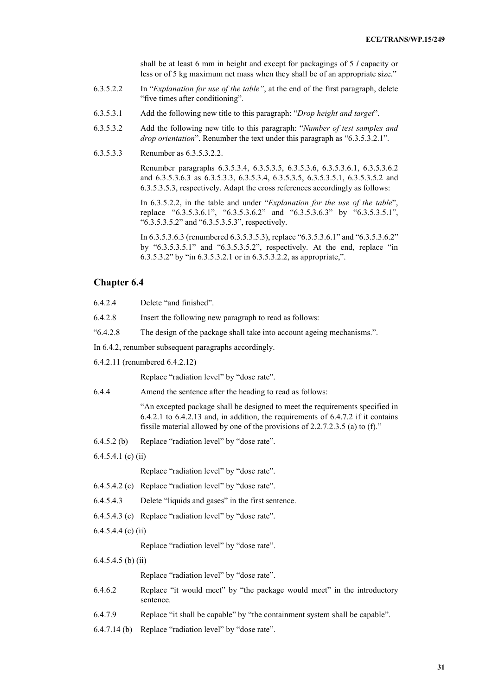shall be at least 6 mm in height and except for packagings of 5 *l* capacity or less or of 5 kg maximum net mass when they shall be of an appropriate size."

- 6.3.5.2.2 In "*Explanation for use of the table"*, at the end of the first paragraph, delete "five times after conditioning".
- 6.3.5.3.1 Add the following new title to this paragraph: "*Drop height and target*".
- 6.3.5.3.2 Add the following new title to this paragraph: "*Number of test samples and drop orientation*". Renumber the text under this paragraph as "6.3.5.3.2.1".
- 6.3.5.3.3 Renumber as 6.3.5.3.2.2.

Renumber paragraphs 6.3.5.3.4, 6.3.5.3.5, 6.3.5.3.6, 6.3.5.3.6.1, 6.3.5.3.6.2 and 6.3.5.3.6.3 as 6.3.5.3.3, 6.3.5.3.4, 6.3.5.3.5, 6.3.5.3.5.1, 6.3.5.3.5.2 and 6.3.5.3.5.3, respectively. Adapt the cross references accordingly as follows:

In 6.3.5.2.2, in the table and under "*Explanation for the use of the table*", replace "6.3.5.3.6.1", "6.3.5.3.6.2" and "6.3.5.3.6.3" by "6.3.5.3.5.1", "6.3.5.3.5.2" and "6.3.5.3.5.3", respectively.

In 6.3.5.3.6.3 (renumbered 6.3.5.3.5.3), replace "6.3.5.3.6.1" and "6.3.5.3.6.2" by "6.3.5.3.5.1" and "6.3.5.3.5.2", respectively. At the end, replace "in 6.3.5.3.2" by "in 6.3.5.3.2.1 or in 6.3.5.3.2.2, as appropriate,".

#### **Chapter 6.4**

| 6.4.2.4              | Delete "and finished".                                                                                                                                                                                                                                    |
|----------------------|-----------------------------------------------------------------------------------------------------------------------------------------------------------------------------------------------------------------------------------------------------------|
| 6.4.2.8              | Insert the following new paragraph to read as follows:                                                                                                                                                                                                    |
| 4.2.8                | The design of the package shall take into account ageing mechanisms.".                                                                                                                                                                                    |
|                      | In 6.4.2, renumber subsequent paragraphs accordingly.                                                                                                                                                                                                     |
|                      | 6.4.2.11 (renumbered 6.4.2.12)                                                                                                                                                                                                                            |
|                      | Replace "radiation level" by "dose rate".                                                                                                                                                                                                                 |
| 6.4.4                | Amend the sentence after the heading to read as follows:                                                                                                                                                                                                  |
|                      | "An excepted package shall be designed to meet the requirements specified in<br>$6.4.2.1$ to $6.4.2.13$ and, in addition, the requirements of $6.4.7.2$ if it contains<br>fissile material allowed by one of the provisions of $2.2.7.2.3.5$ (a) to (f)." |
| 6.4.5.2(b)           | Replace "radiation level" by "dose rate".                                                                                                                                                                                                                 |
| $6.4.5.4.1$ (c) (ii) |                                                                                                                                                                                                                                                           |
|                      | Replace "radiation level" by "dose rate".                                                                                                                                                                                                                 |
|                      | 6.4.5.4.2 (c) Replace "radiation level" by "dose rate".                                                                                                                                                                                                   |
| 6.4.5.4.3            | Delete "liquids and gases" in the first sentence.                                                                                                                                                                                                         |
|                      | 6.4.5.4.3 (c) Replace "radiation level" by "dose rate".                                                                                                                                                                                                   |
| $6.4.5.4.4$ (c) (ii) |                                                                                                                                                                                                                                                           |
|                      | Replace "radiation level" by "dose rate".                                                                                                                                                                                                                 |
| $6.4.5.4.5$ (b) (ii) |                                                                                                                                                                                                                                                           |
|                      | Replace "radiation level" by "dose rate".                                                                                                                                                                                                                 |
| 6.4.6.2              | Replace "it would meet" by "the package would meet" in the introductory<br>sentence.                                                                                                                                                                      |

- 6.4.7.9 Replace "it shall be capable" by "the containment system shall be capable".
- 6.4.7.14 (b) Replace "radiation level" by "dose rate".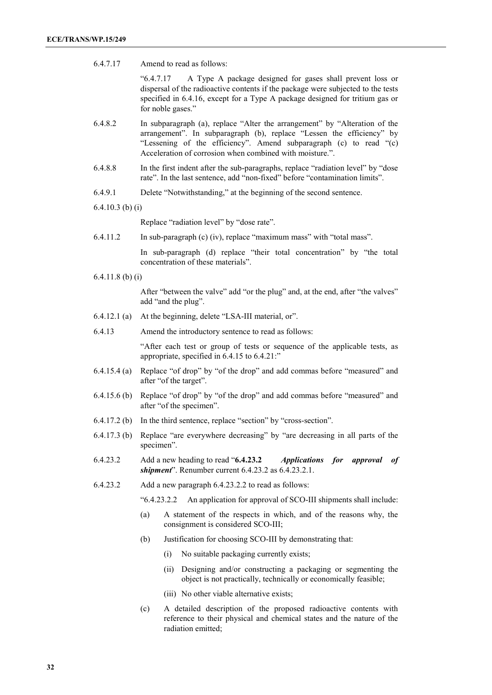6.4.7.17 Amend to read as follows:

"6.4.7.17 A Type A package designed for gases shall prevent loss or dispersal of the radioactive contents if the package were subjected to the tests specified in 6.4.16, except for a Type A package designed for tritium gas or for noble gases."

- 6.4.8.2 In subparagraph (a), replace "Alter the arrangement" by "Alteration of the arrangement". In subparagraph (b), replace "Lessen the efficiency" by "Lessening of the efficiency". Amend subparagraph (c) to read "(c) Acceleration of corrosion when combined with moisture.".
- 6.4.8.8 In the first indent after the sub-paragraphs, replace "radiation level" by "dose rate". In the last sentence, add "non-fixed" before "contamination limits".
- 6.4.9.1 Delete "Notwithstanding," at the beginning of the second sentence.
- 6.4.10.3 (b) (i)

Replace "radiation level" by "dose rate".

6.4.11.2 In sub-paragraph (c) (iv), replace "maximum mass" with "total mass".

In sub-paragraph (d) replace "their total concentration" by "the total concentration of these materials".

6.4.11.8 (b) (i)

After "between the valve" add "or the plug" and, at the end, after "the valves" add "and the plug".

- 6.4.12.1 (a) At the beginning, delete "LSA-III material, or".
- 6.4.13 Amend the introductory sentence to read as follows:

"After each test or group of tests or sequence of the applicable tests, as appropriate, specified in 6.4.15 to 6.4.21:"

- 6.4.15.4 (a) Replace "of drop" by "of the drop" and add commas before "measured" and after "of the target".
- 6.4.15.6 (b) Replace "of drop" by "of the drop" and add commas before "measured" and after "of the specimen".
- 6.4.17.2 (b) In the third sentence, replace "section" by "cross-section".
- 6.4.17.3 (b) Replace "are everywhere decreasing" by "are decreasing in all parts of the specimen".
- 6.4.23.2 Add a new heading to read "**6.4.23.2** *Applications for approval of shipment*". Renumber current 6.4.23.2 as 6.4.23.2.1.
- 6.4.23.2 Add a new paragraph 6.4.23.2.2 to read as follows:

"6.4.23.2.2 An application for approval of SCO-III shipments shall include:

- (a) A statement of the respects in which, and of the reasons why, the consignment is considered SCO-III;
- (b) Justification for choosing SCO-III by demonstrating that:
	- (i) No suitable packaging currently exists;
	- (ii) Designing and/or constructing a packaging or segmenting the object is not practically, technically or economically feasible;
	- (iii) No other viable alternative exists;
- (c) A detailed description of the proposed radioactive contents with reference to their physical and chemical states and the nature of the radiation emitted;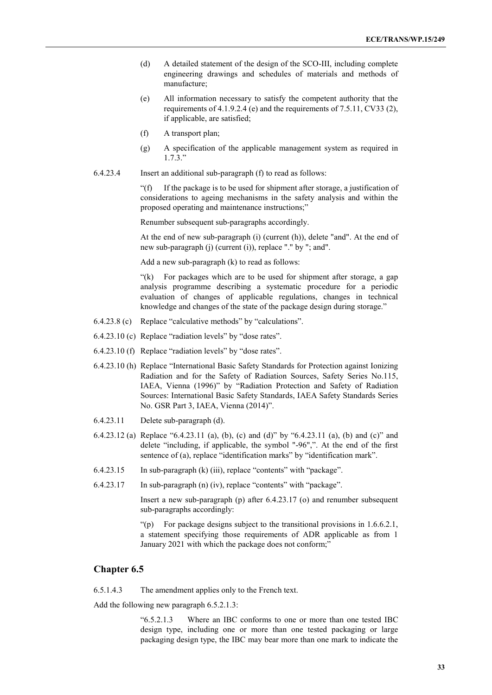- (d) A detailed statement of the design of the SCO-III, including complete engineering drawings and schedules of materials and methods of manufacture;
- (e) All information necessary to satisfy the competent authority that the requirements of 4.1.9.2.4 (e) and the requirements of 7.5.11, CV33 (2), if applicable, are satisfied;
- (f) A transport plan;
- (g) A specification of the applicable management system as required in 1.7.3."
- 6.4.23.4 Insert an additional sub-paragraph (f) to read as follows:

"(f) If the package is to be used for shipment after storage, a justification of considerations to ageing mechanisms in the safety analysis and within the proposed operating and maintenance instructions;"

Renumber subsequent sub-paragraphs accordingly.

At the end of new sub-paragraph (i) (current (h)), delete "and". At the end of new sub-paragraph (j) (current (i)), replace "." by "; and".

Add a new sub-paragraph (k) to read as follows:

"(k) For packages which are to be used for shipment after storage, a gap analysis programme describing a systematic procedure for a periodic evaluation of changes of applicable regulations, changes in technical knowledge and changes of the state of the package design during storage."

- 6.4.23.8 (c) Replace "calculative methods" by "calculations".
- 6.4.23.10 (c) Replace "radiation levels" by "dose rates".
- 6.4.23.10 (f) Replace "radiation levels" by "dose rates".
- 6.4.23.10 (h) Replace "International Basic Safety Standards for Protection against Ionizing Radiation and for the Safety of Radiation Sources, Safety Series No.115, IAEA, Vienna (1996)" by "Radiation Protection and Safety of Radiation Sources: International Basic Safety Standards, IAEA Safety Standards Series No. GSR Part 3, IAEA, Vienna (2014)".
- 6.4.23.11 Delete sub-paragraph (d).
- 6.4.23.12 (a) Replace "6.4.23.11 (a), (b), (c) and (d)" by "6.4.23.11 (a), (b) and (c)" and delete "including, if applicable, the symbol "-96",". At the end of the first sentence of (a), replace "identification marks" by "identification mark".
- 6.4.23.15 In sub-paragraph (k) (iii), replace "contents" with "package".
- 6.4.23.17 In sub-paragraph (n) (iv), replace "contents" with "package".

Insert a new sub-paragraph (p) after 6.4.23.17 (o) and renumber subsequent sub-paragraphs accordingly:

"(p) For package designs subject to the transitional provisions in 1.6.6.2.1, a statement specifying those requirements of ADR applicable as from 1 January 2021 with which the package does not conform;"

#### **Chapter 6.5**

6.5.1.4.3 The amendment applies only to the French text.

Add the following new paragraph 6.5.2.1.3:

"6.5.2.1.3 Where an IBC conforms to one or more than one tested IBC design type, including one or more than one tested packaging or large packaging design type, the IBC may bear more than one mark to indicate the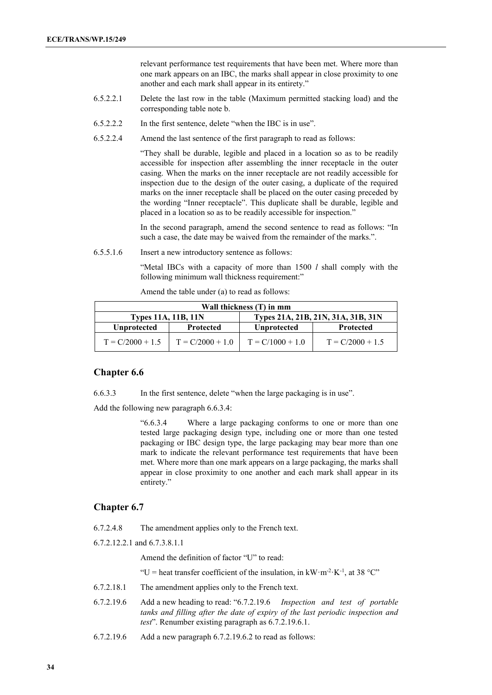relevant performance test requirements that have been met. Where more than one mark appears on an IBC, the marks shall appear in close proximity to one another and each mark shall appear in its entirety."

- 6.5.2.2.1 Delete the last row in the table (Maximum permitted stacking load) and the corresponding table note b.
- 6.5.2.2.2 In the first sentence, delete "when the IBC is in use".
- 6.5.2.2.4 Amend the last sentence of the first paragraph to read as follows:

"They shall be durable, legible and placed in a location so as to be readily accessible for inspection after assembling the inner receptacle in the outer casing. When the marks on the inner receptacle are not readily accessible for inspection due to the design of the outer casing, a duplicate of the required marks on the inner receptacle shall be placed on the outer casing preceded by the wording "Inner receptacle". This duplicate shall be durable, legible and placed in a location so as to be readily accessible for inspection."

In the second paragraph, amend the second sentence to read as follows: "In such a case, the date may be waived from the remainder of the marks.".

6.5.5.1.6 Insert a new introductory sentence as follows:

"Metal IBCs with a capacity of more than 1500 *l* shall comply with the following minimum wall thickness requirement:"

Amend the table under (a) to read as follows:

| Wall thickness (T) in mm                                         |                    |                    |                    |
|------------------------------------------------------------------|--------------------|--------------------|--------------------|
| Types 21A, 21B, 21N, 31A, 31B, 31N<br><b>Types 11A, 11B, 11N</b> |                    |                    |                    |
| <b>Unprotected</b>                                               | <b>Protected</b>   | <b>Unprotected</b> | <b>Protected</b>   |
| $T = C/2000 + 1.5$                                               | $T = C/2000 + 1.0$ | $T = C/1000 + 1.0$ | $T = C/2000 + 1.5$ |

## **Chapter 6.6**

6.6.3.3 In the first sentence, delete "when the large packaging is in use".

Add the following new paragraph 6.6.3.4:

"6.6.3.4 Where a large packaging conforms to one or more than one tested large packaging design type, including one or more than one tested packaging or IBC design type, the large packaging may bear more than one mark to indicate the relevant performance test requirements that have been met. Where more than one mark appears on a large packaging, the marks shall appear in close proximity to one another and each mark shall appear in its entirety."

#### **Chapter 6.7**

6.7.2.4.8 The amendment applies only to the French text.

6.7.2.12.2.1 and 6.7.3.8.1.1

Amend the definition of factor "U" to read:

"U = heat transfer coefficient of the insulation, in  $kW \cdot m^{-2} \cdot K^{-1}$ , at 38 °C"

- 6.7.2.18.1 The amendment applies only to the French text.
- 6.7.2.19.6 Add a new heading to read: "6.7.2.19.6 *Inspection and test of portable tanks and filling after the date of expiry of the last periodic inspection and test*". Renumber existing paragraph as 6.7.2.19.6.1.
- 6.7.2.19.6 Add a new paragraph 6.7.2.19.6.2 to read as follows: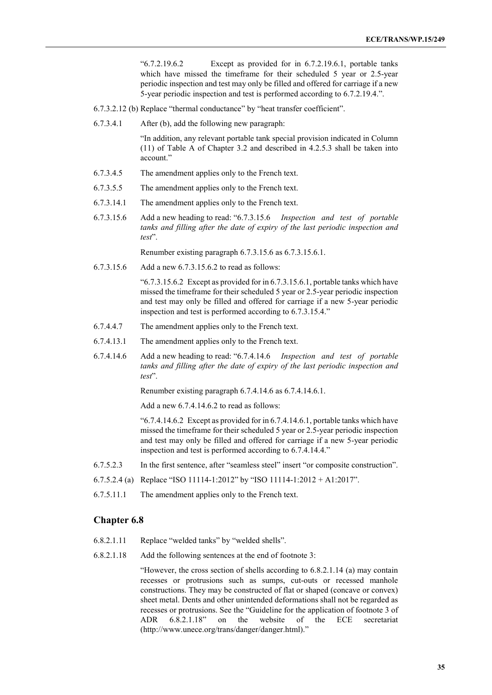"6.7.2.19.6.2 Except as provided for in 6.7.2.19.6.1, portable tanks which have missed the timeframe for their scheduled 5 year or 2.5-year periodic inspection and test may only be filled and offered for carriage if a new 5-year periodic inspection and test is performed according to 6.7.2.19.4.".

- 6.7.3.2.12 (b) Replace "thermal conductance" by "heat transfer coefficient".
- 6.7.3.4.1 After (b), add the following new paragraph:

"In addition, any relevant portable tank special provision indicated in Column (11) of Table A of Chapter 3.2 and described in 4.2.5.3 shall be taken into account."

- 6.7.3.4.5 The amendment applies only to the French text.
- 6.7.3.5.5 The amendment applies only to the French text.
- 6.7.3.14.1 The amendment applies only to the French text.
- 6.7.3.15.6 Add a new heading to read: "6.7.3.15.6 *Inspection and test of portable tanks and filling after the date of expiry of the last periodic inspection and test*".

Renumber existing paragraph 6.7.3.15.6 as 6.7.3.15.6.1.

6.7.3.15.6 Add a new 6.7.3.15.6.2 to read as follows:

"6.7.3.15.6.2 Except as provided for in 6.7.3.15.6.1, portable tanks which have missed the timeframe for their scheduled 5 year or 2.5-year periodic inspection and test may only be filled and offered for carriage if a new 5-year periodic inspection and test is performed according to 6.7.3.15.4."

- 6.7.4.4.7 The amendment applies only to the French text.
- 6.7.4.13.1 The amendment applies only to the French text.
- 6.7.4.14.6 Add a new heading to read: "6.7.4.14.6 *Inspection and test of portable tanks and filling after the date of expiry of the last periodic inspection and test*".

Renumber existing paragraph 6.7.4.14.6 as 6.7.4.14.6.1.

Add a new 6.7.4.14.6.2 to read as follows:

"6.7.4.14.6.2 Except as provided for in 6.7.4.14.6.1, portable tanks which have missed the timeframe for their scheduled 5 year or 2.5-year periodic inspection and test may only be filled and offered for carriage if a new 5-year periodic inspection and test is performed according to 6.7.4.14.4."

- 6.7.5.2.3 In the first sentence, after "seamless steel" insert "or composite construction".
- 6.7.5.2.4 (a) Replace "ISO 11114-1:2012" by "ISO 11114-1:2012 + A1:2017".
- 6.7.5.11.1 The amendment applies only to the French text.

## **Chapter 6.8**

- 6.8.2.1.11 Replace "welded tanks" by "welded shells".
- 6.8.2.1.18 Add the following sentences at the end of footnote 3:

"However, the cross section of shells according to 6.8.2.1.14 (a) may contain recesses or protrusions such as sumps, cut-outs or recessed manhole constructions. They may be constructed of flat or shaped (concave or convex) sheet metal. Dents and other unintended deformations shall not be regarded as recesses or protrusions. See the "Guideline for the application of footnote 3 of ADR 6.8.2.1.18" on the website of the ECE secretariat (http://www.unece.org/trans/danger/danger.html)."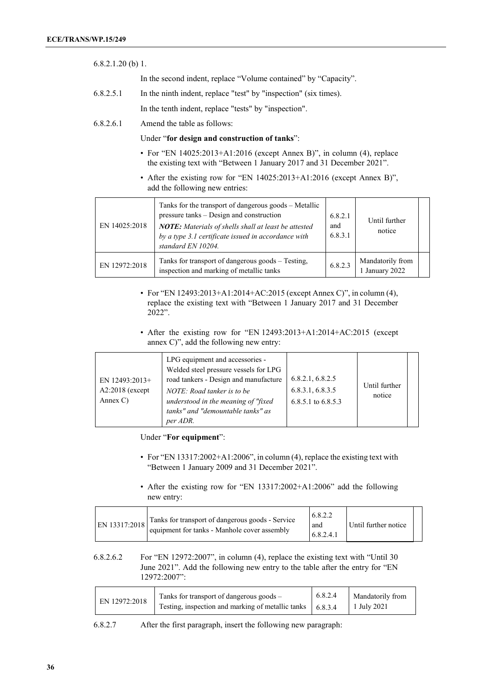| $6.8.2.1.20$ (b) 1. |                                                                  |
|---------------------|------------------------------------------------------------------|
|                     | In the second indent, replace "Volume contained" by "Capacity".  |
| 6.8.2.5.1           | In the ninth indent, replace "test" by "inspection" (six times). |

In the tenth indent, replace "tests" by "inspection".

6.8.2.6.1 Amend the table as follows:

Under "**for design and construction of tanks**":

- For "EN 14025:2013+A1:2016 (except Annex B)", in column (4), replace the existing text with "Between 1 January 2017 and 31 December 2021".
- After the existing row for "EN 14025:2013+A1:2016 (except Annex B)", add the following new entries:

| EN 14025:2018 | Tanks for the transport of dangerous goods – Metallic<br>pressure tanks – Design and construction<br><b>NOTE:</b> Materials of shells shall at least be attested<br>by a type 3.1 certificate issued in accordance with<br>standard EN 10204. | 6.8.2.1<br>and<br>6.8.3.1 | Until further<br>notice          |  |
|---------------|-----------------------------------------------------------------------------------------------------------------------------------------------------------------------------------------------------------------------------------------------|---------------------------|----------------------------------|--|
| EN 12972:2018 | Tanks for transport of dangerous goods – Testing,<br>inspection and marking of metallic tanks                                                                                                                                                 | 6.8.2.3                   | Mandatorily from<br>January 2022 |  |

- For "EN 12493:2013+A1:2014+AC:2015 (except Annex C)", in column (4), replace the existing text with "Between 1 January 2017 and 31 December 2022".
- After the existing row for "EN 12493:2013+A1:2014+AC:2015 (except annex C)", add the following new entry:

| EN $12493:2013+$<br>$A2:2018$ (except<br>Annex $C$ ) | LPG equipment and accessories -<br>Welded steel pressure vessels for LPG<br>road tankers - Design and manufacture<br>NOTE: Road tanker is to be<br>understood in the meaning of "fixed"<br>tanks" and "demountable tanks" as<br>per ADR. | 6.8.2.1, 6.8.2.5<br>6.8.3.1, 6.8.3.5<br>6.8.5.1 to $6.8.5.3$ | Until further<br>notice |  |
|------------------------------------------------------|------------------------------------------------------------------------------------------------------------------------------------------------------------------------------------------------------------------------------------------|--------------------------------------------------------------|-------------------------|--|
|------------------------------------------------------|------------------------------------------------------------------------------------------------------------------------------------------------------------------------------------------------------------------------------------------|--------------------------------------------------------------|-------------------------|--|

Under "**For equipment**":

- For "EN 13317:2002+A1:2006", in column (4), replace the existing text with "Between 1 January 2009 and 31 December 2021".
- After the existing row for "EN 13317:2002+A1:2006" add the following new entry:

| EN 13317:2018 | Tanks for transport of dangerous goods - Service<br>equipment for tanks - Manhole cover assembly | 6.8.2.2<br>and<br>6.8.2.4.1 | Until further notice |  |
|---------------|--------------------------------------------------------------------------------------------------|-----------------------------|----------------------|--|
|---------------|--------------------------------------------------------------------------------------------------|-----------------------------|----------------------|--|

6.8.2.6.2 For "EN 12972:2007", in column (4), replace the existing text with "Until 30 June 2021". Add the following new entry to the table after the entry for "EN 12972:2007":

| EN 12972:2018 | Tanks for transport of dangerous goods -                    | 6.8.2.4 | Mandatorily from |
|---------------|-------------------------------------------------------------|---------|------------------|
|               | Testing, inspection and marking of metallic tanks   6.8.3.4 |         | 1 July 2021      |

6.8.2.7 After the first paragraph, insert the following new paragraph: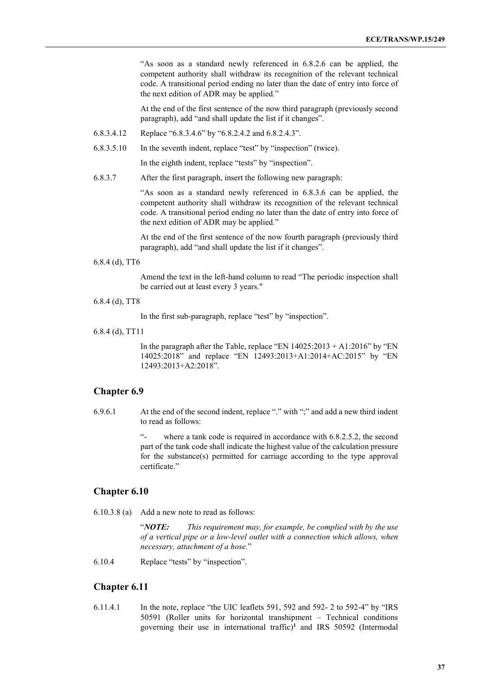"As soon as a standard newly referenced in 6.8.2.6 can be applied, the competent authority shall withdraw its recognition of the relevant technical code. A transitional period ending no later than the date of entry into force of the next edition of ADR may be applied*.*"

At the end of the first sentence of the now third paragraph (previously second paragraph), add "and shall update the list if it changes".

- 6.8.3.4.12 Replace "6.8.3.4.6" by "6.8.2.4.2 and 6.8.2.4.3".
- 6.8.3.5.10 In the seventh indent, replace "test" by "inspection" (twice).

In the eighth indent, replace "tests" by "inspection".

6.8.3.7 After the first paragraph, insert the following new paragraph:

"As soon as a standard newly referenced in 6.8.3.6 can be applied, the competent authority shall withdraw its recognition of the relevant technical code. A transitional period ending no later than the date of entry into force of the next edition of ADR may be applied*.*"

At the end of the first sentence of the now fourth paragraph (previously third paragraph), add "and shall update the list if it changes".

6.8.4 (d), TT6

Amend the text in the left-hand column to read "The periodic inspection shall be carried out at least every 3 years."

6.8.4 (d), TT8

In the first sub-paragraph, replace "test" by "inspection".

6.8.4 (d), TT11

In the paragraph after the Table, replace "EN  $14025:2013 + A1:2016$ " by "EN 14025:2018" and replace "EN 12493:2013+A1:2014+AC:2015" by "EN 12493:2013+A2:2018".

#### **Chapter 6.9**

6.9.6.1 At the end of the second indent, replace "." with ";" and add a new third indent to read as follows:

> where a tank code is required in accordance with  $6.8.2.5.2$ , the second part of the tank code shall indicate the highest value of the calculation pressure for the substance(s) permitted for carriage according to the type approval certificate."

## **Chapter 6.10**

6.10.3.8 (a) Add a new note to read as follows:

"*NOTE: This requirement may, for example, be complied with by the use of a vertical pipe or a low-level outlet with a connection which allows, when necessary, attachment of a hose.*"

6.10.4 Replace "tests" by "inspection".

#### **Chapter 6.11**

6.11.4.1 In the note, replace "the UIC leaflets 591, 592 and 592- 2 to 592-4" by "IRS 50591 (Roller units for horizontal transhipment – Technical conditions governing their use in international traffic)**<sup>1</sup>** and IRS 50592 (Intermodal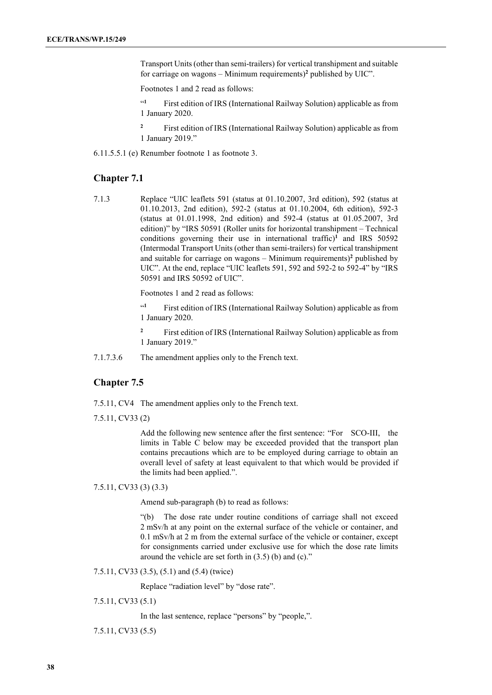Transport Units (other than semi-trailers) for vertical transhipment and suitable for carriage on wagons – Minimum requirements)**<sup>2</sup>** published by UIC".

Footnotes 1 and 2 read as follows:

"**<sup>1</sup>** First edition of IRS (International Railway Solution) applicable as from 1 January 2020.

**<sup>2</sup>** First edition of IRS (International Railway Solution) applicable as from 1 January 2019."

6.11.5.5.1 (e) Renumber footnote 1 as footnote 3.

## **Chapter 7.1**

7.1.3 Replace "UIC leaflets 591 (status at 01.10.2007, 3rd edition), 592 (status at 01.10.2013, 2nd edition), 592-2 (status at 01.10.2004, 6th edition), 592-3 (status at 01.01.1998, 2nd edition) and 592-4 (status at 01.05.2007, 3rd edition)" by "IRS 50591 (Roller units for horizontal transhipment – Technical conditions governing their use in international traffic)**<sup>1</sup>** and IRS 50592 (Intermodal Transport Units (other than semi-trailers) for vertical transhipment and suitable for carriage on wagons – Minimum requirements)**<sup>2</sup>** published by UIC". At the end, replace "UIC leaflets 591, 592 and 592-2 to 592-4" by "IRS 50591 and IRS 50592 of UIC".

Footnotes 1 and 2 read as follows:

<sup>41</sup> First edition of IRS (International Railway Solution) applicable as from 1 January 2020.

<sup>2</sup> First edition of IRS (International Railway Solution) applicable as from 1 January 2019."

7.1.7.3.6 The amendment applies only to the French text.

## **Chapter 7.5**

- 7.5.11, CV4 The amendment applies only to the French text.
- 7.5.11, CV33 (2)

Add the following new sentence after the first sentence: "For SCO-III, the limits in Table C below may be exceeded provided that the transport plan contains precautions which are to be employed during carriage to obtain an overall level of safety at least equivalent to that which would be provided if the limits had been applied.".

7.5.11, CV33 (3) (3.3)

Amend sub-paragraph (b) to read as follows:

"(b) The dose rate under routine conditions of carriage shall not exceed 2 mSv/h at any point on the external surface of the vehicle or container, and 0.1 mSv/h at 2 m from the external surface of the vehicle or container, except for consignments carried under exclusive use for which the dose rate limits around the vehicle are set forth in (3.5) (b) and (c)."

7.5.11, CV33 (3.5), (5.1) and (5.4) (twice)

Replace "radiation level" by "dose rate".

7.5.11, CV33 (5.1)

In the last sentence, replace "persons" by "people,".

7.5.11, CV33 (5.5)